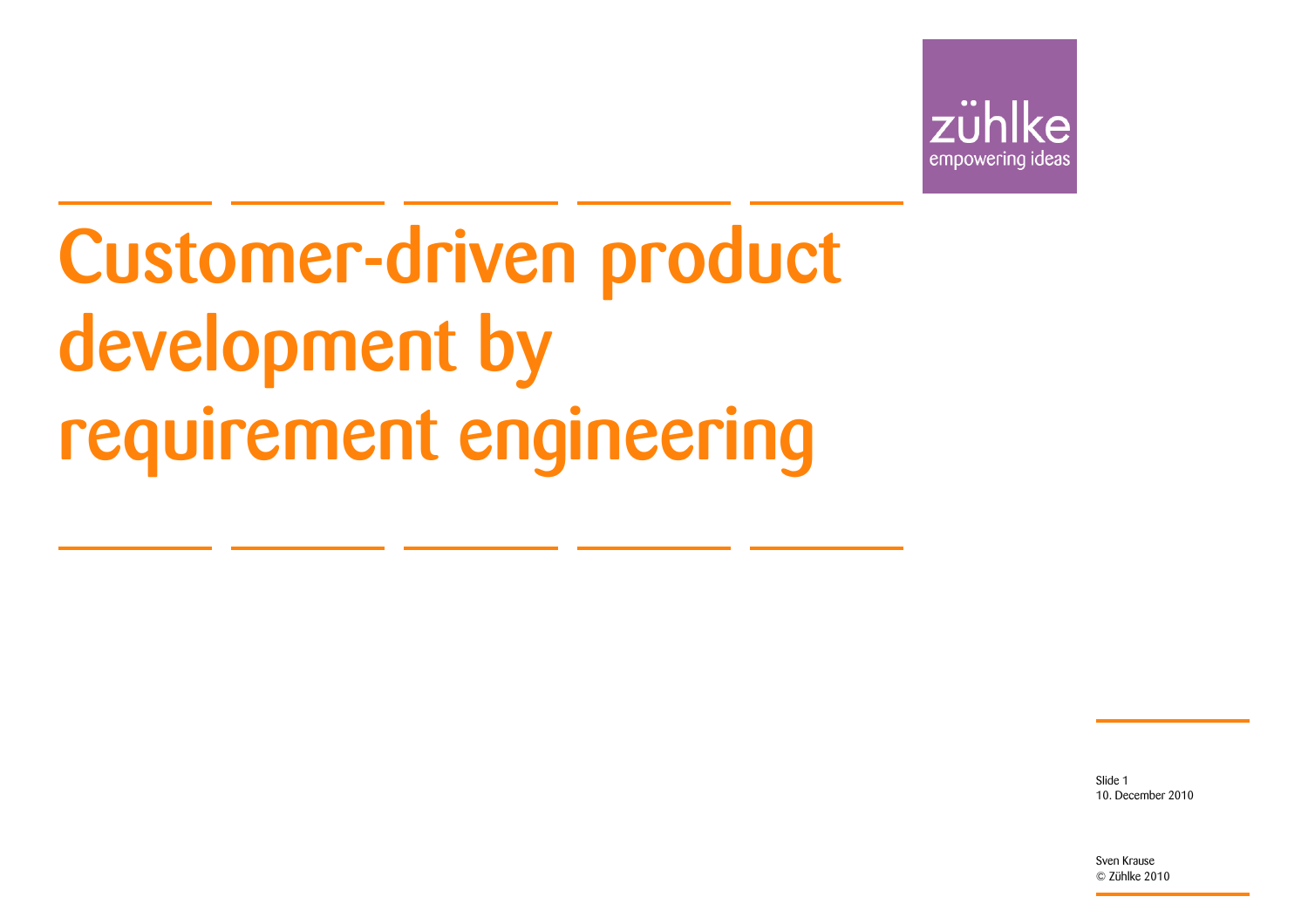

Customer-driven product development by requirement engineering

> 10. December 2010Slide 1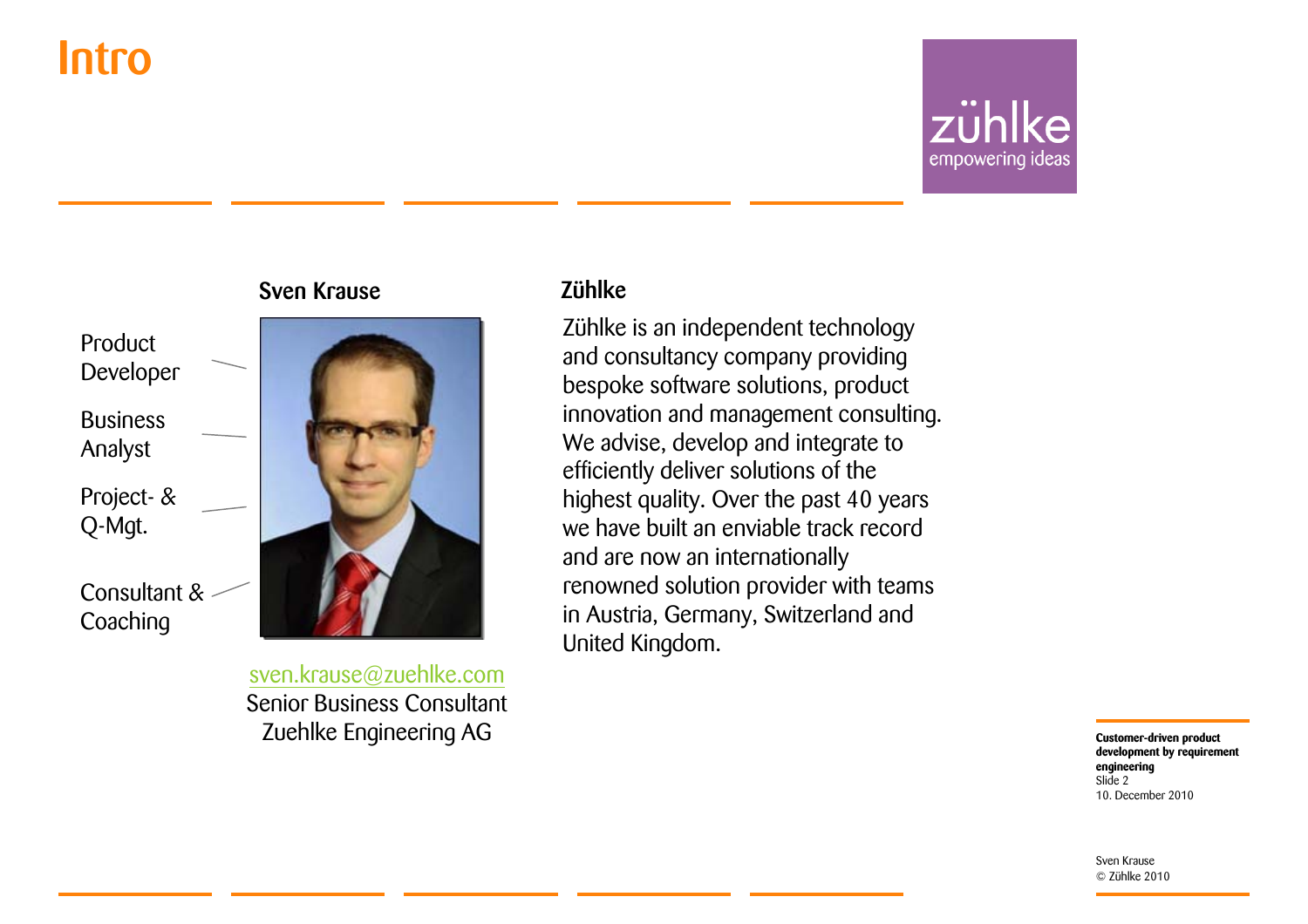### Intro

### zühlke empowering ideas

#### Product Developer

Business Analyst

Project- & Q-Mgt.

Consultant & **Coaching** 



[sven.krause@zuehlke.com](mailto:sven.krause@zuehlke.com) Senior Business ConsultantZuehlke Engineering AG

#### Zühlke

Zühlke is an independent technology and consultancy company providing bespoke software solutions, product innovation and management consulting. We advise, develop and integrate to efficiently deliver solutions of the highest quality. Over the past 40 years we have built an enviable track record and are now an internationally renowned solution provider with teams in Austria, Germany, Switzerland and United Kingdom.

> **Customer-driven product development by requirement engineering** 10. December 2010Slide 2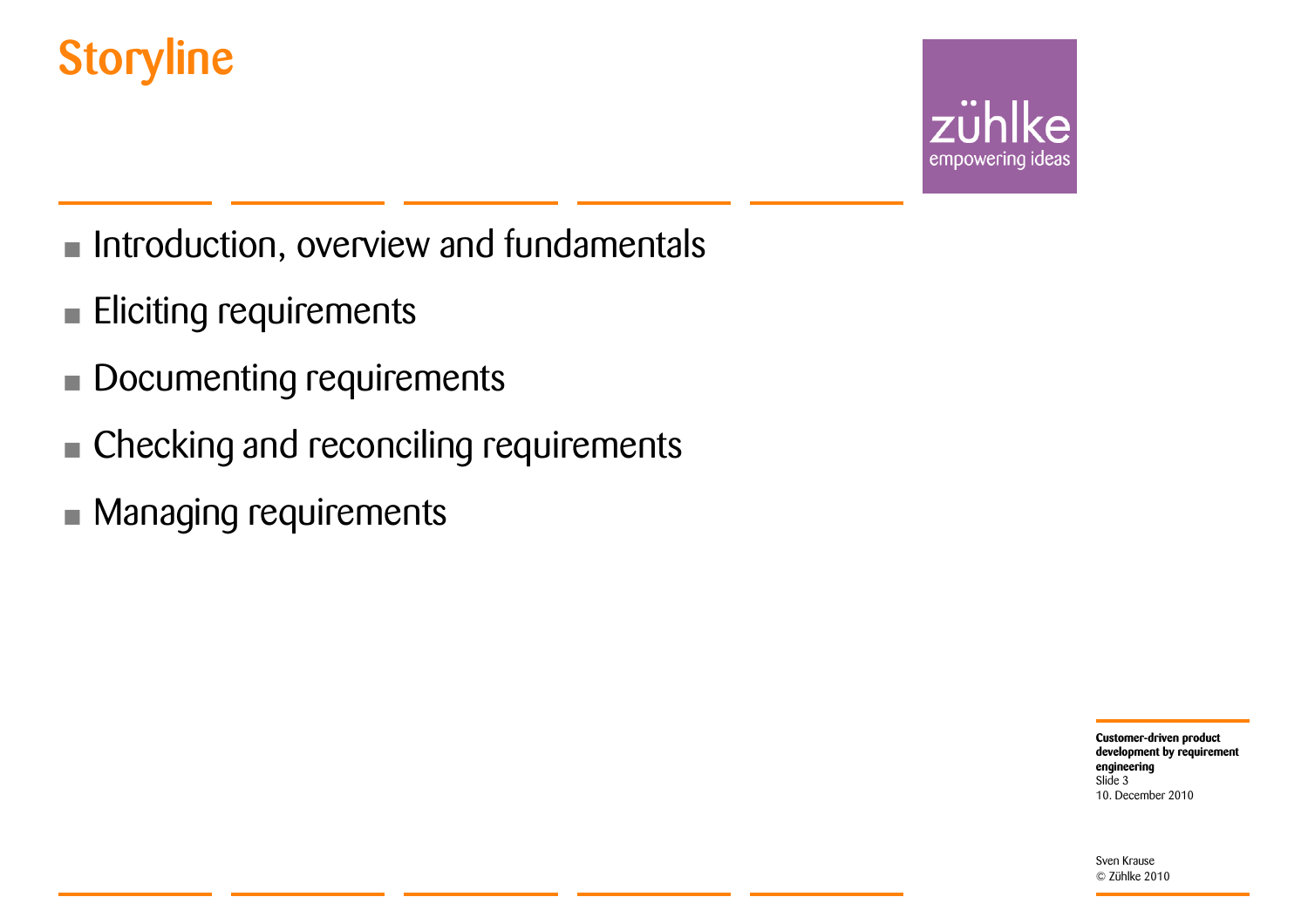### **Storyline**



- Introduction, overview and fundamentals
- •Eliciting requirements
- •Documenting requirements
- **Checking and reconciling requirements**
- Managing requirements

**Customer-driven product development by requirement engineering** 10. December 2010Slide 3

© Zühlke 2010

Sven Krause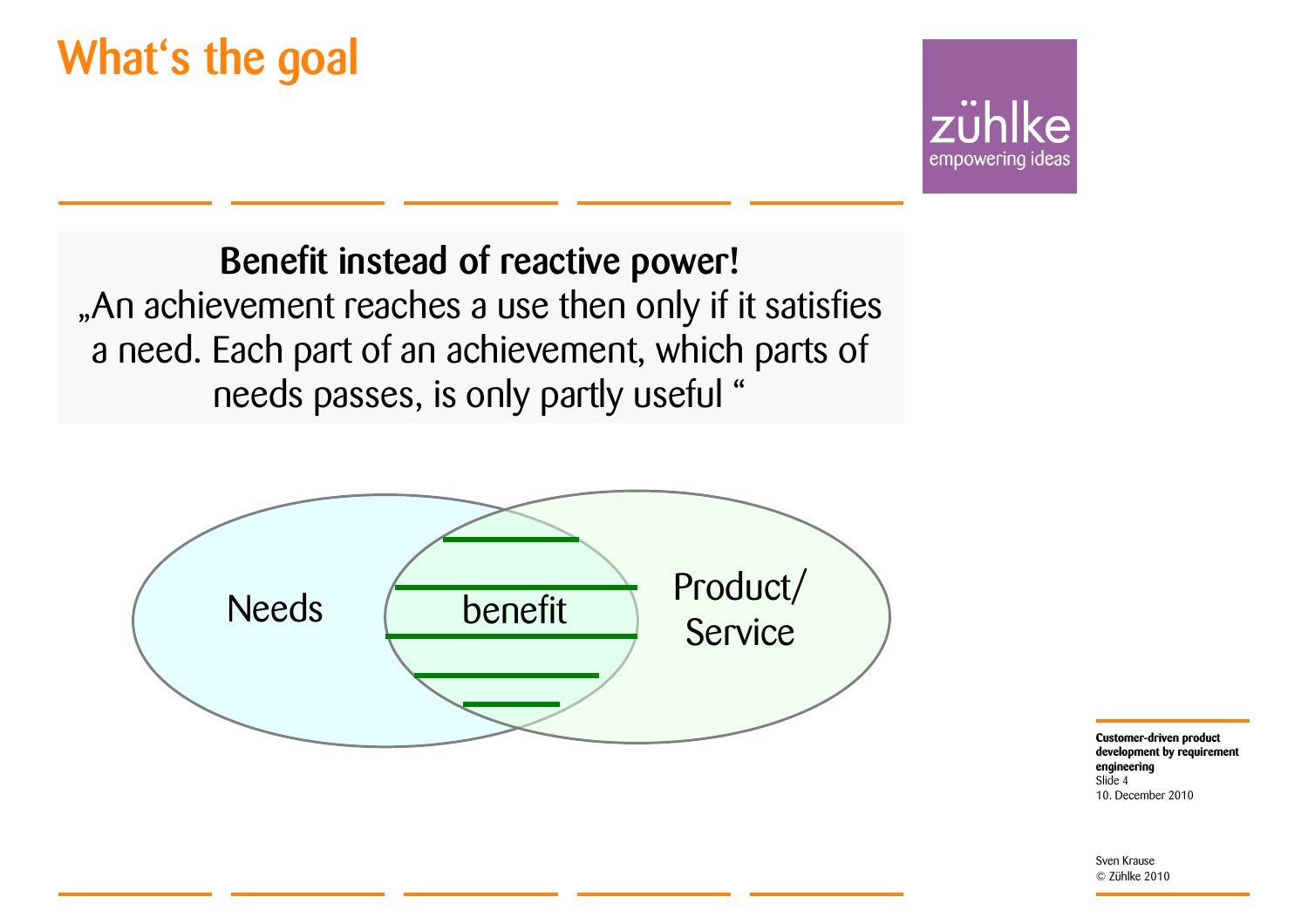### What's the goal



Benefit instead of reactive power! "An achievement reaches a use then only if it satisfies a need. Each part of an achievement, which parts of needs passes, is only partly useful "



**Customer-driven product development by requirement engineering** 10. December 2010Slide 4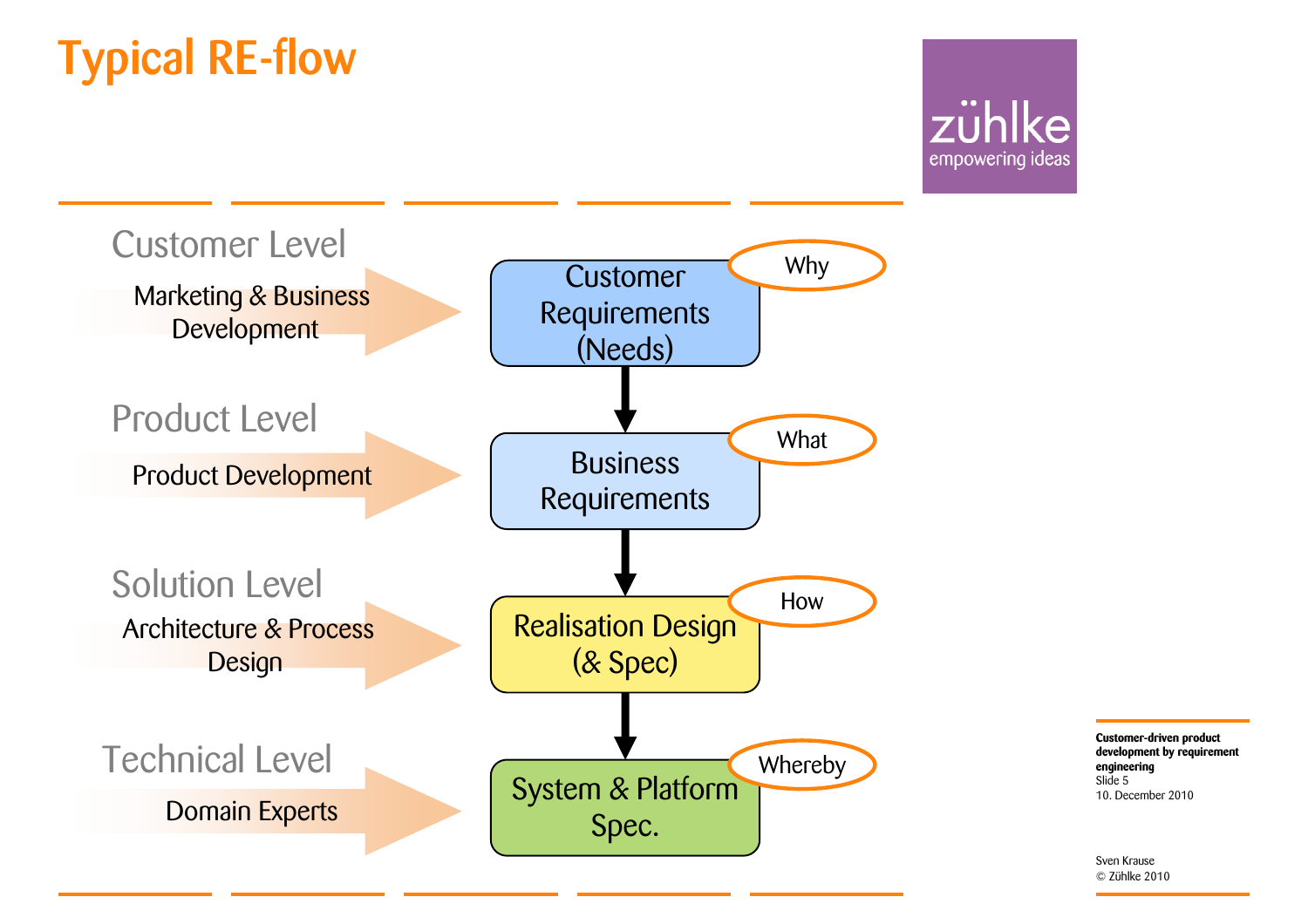### Typical RE-flow





**Customer-driven product development by requirement engineering** 10. December 2010Slide 5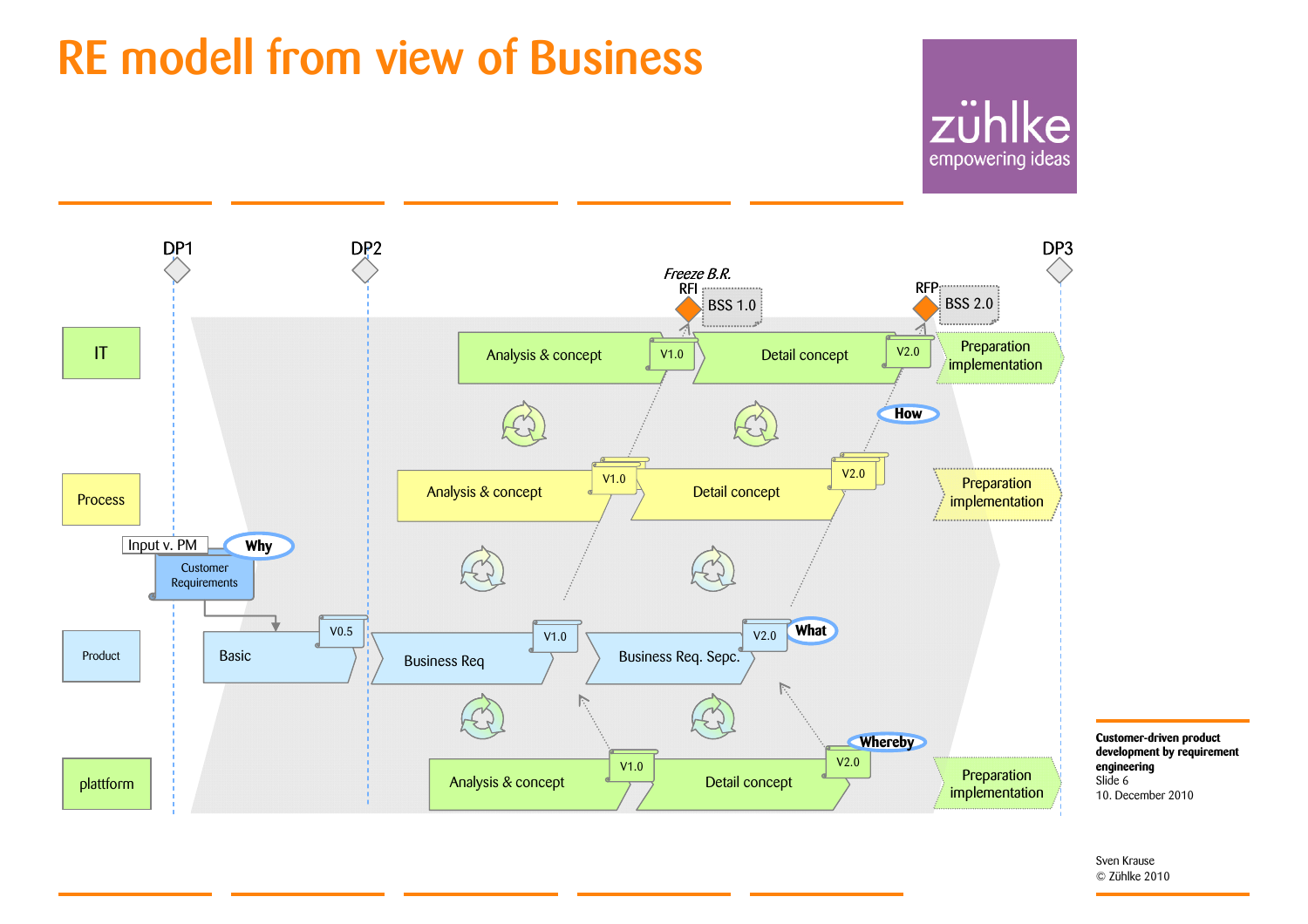### RE modell from view of Business

### zühlke empowering ideas

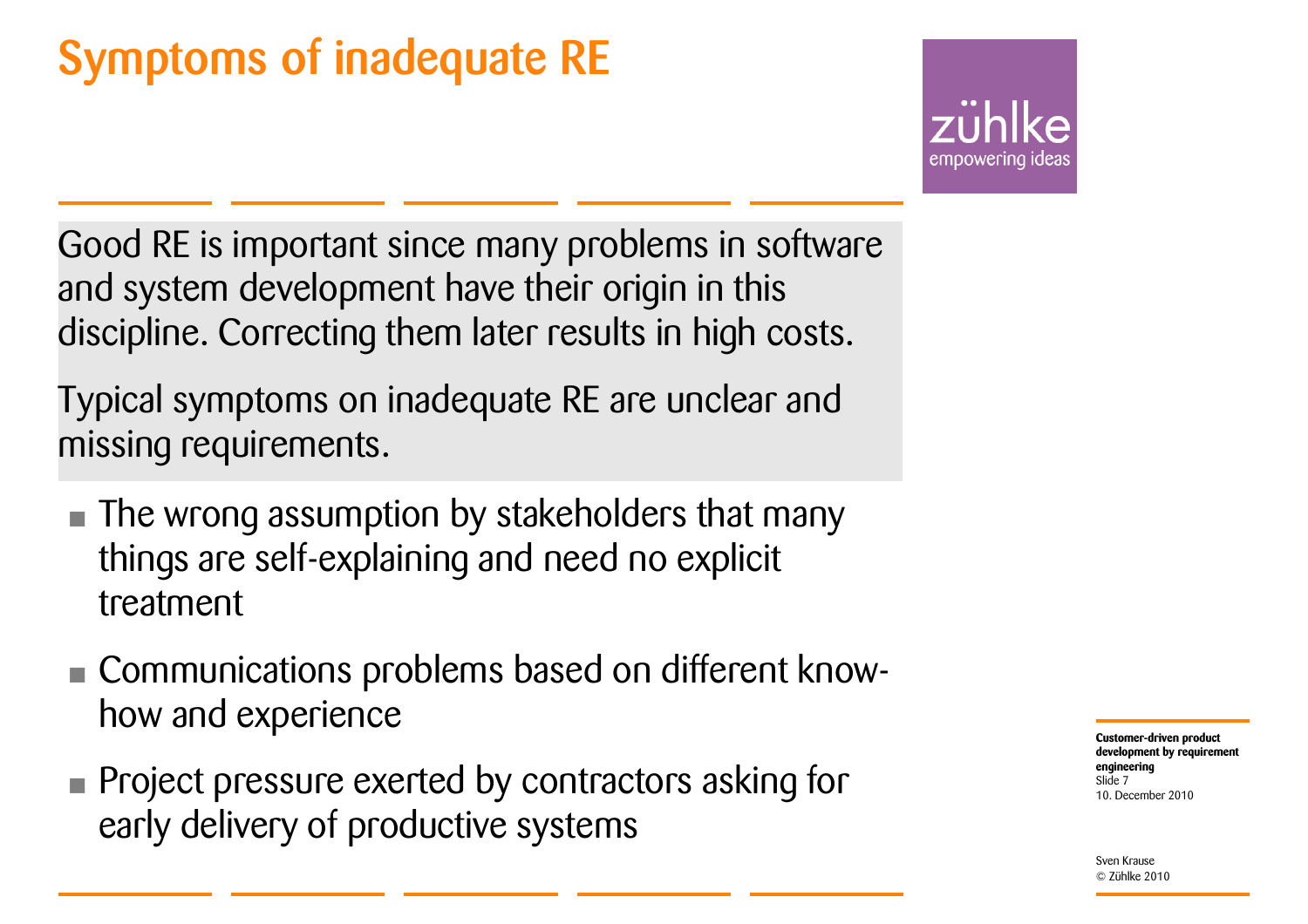### Symptoms of inadequate RE

empowering idea:

Good RE is important since many problems in software and system development have their origin in this discipline. Correcting them later results in high costs.

Typical symptoms on inadequate RE are unclear and missing requirements.

- **The wrong assumption by stakeholders that many** things are self-explaining and need no explicit treatment
- Communications problems based on different knowhow and experience
- **Project pressure exerted by contractors asking for** early delivery of productive systems

**Customer-driven product development by requirement engineering** 10. December 2010Slide 7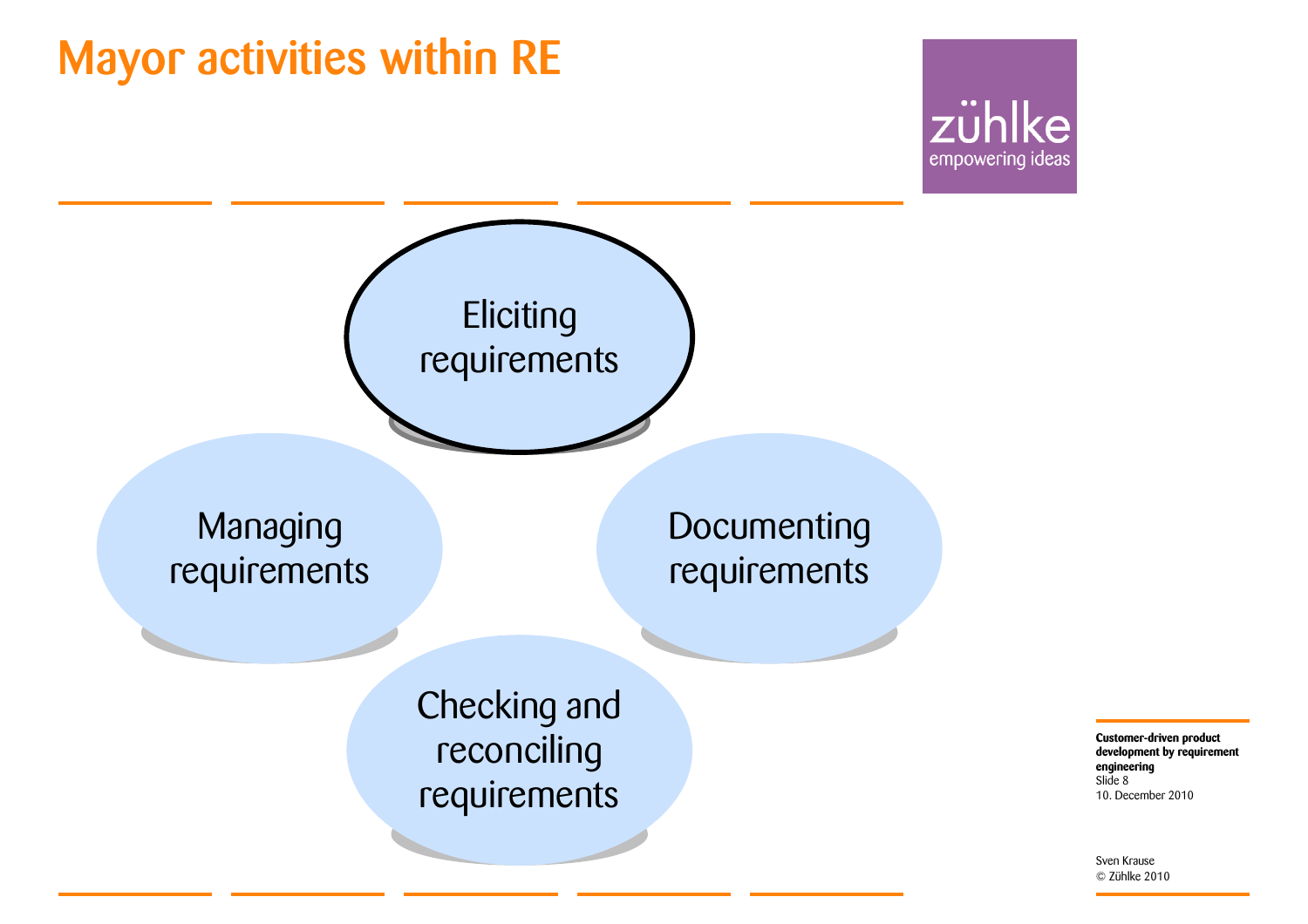### Mayor activities within RE





**Customer-driven product development by requirement engineering** 10. December 2010 Slide 8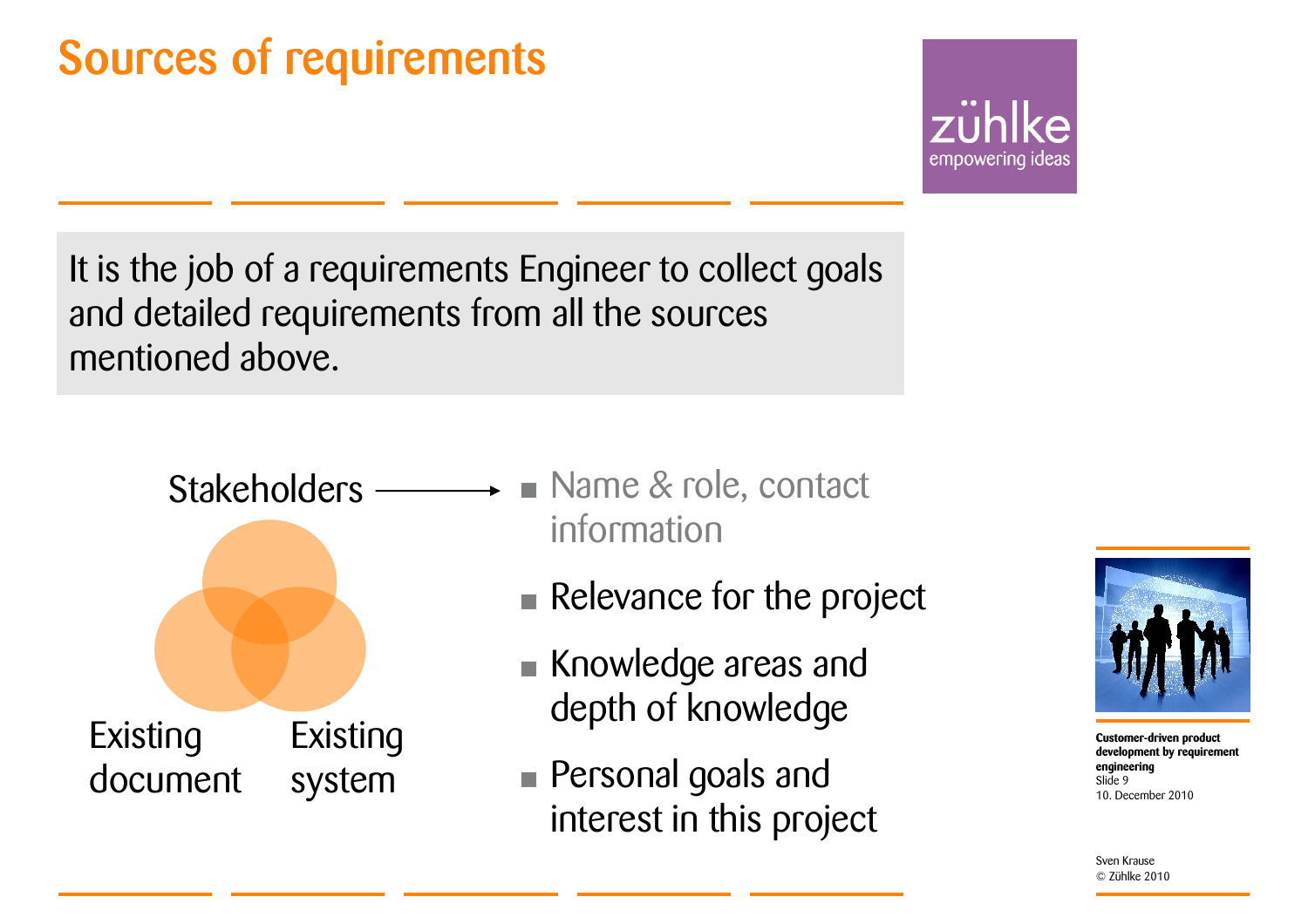### Sources of requirements

empowering ideas

It is the job of a requirements Engineer to collect goals and detailed requirements from all the sources mentioned above.



- **Name & role, contact** information
	- **Relevance for the project**
	- Knowledge areas and depth of knowledge
	- Personal goals and interest in this project



**Customer-driven product development by requirement engineering** 10. December 2010Slide 9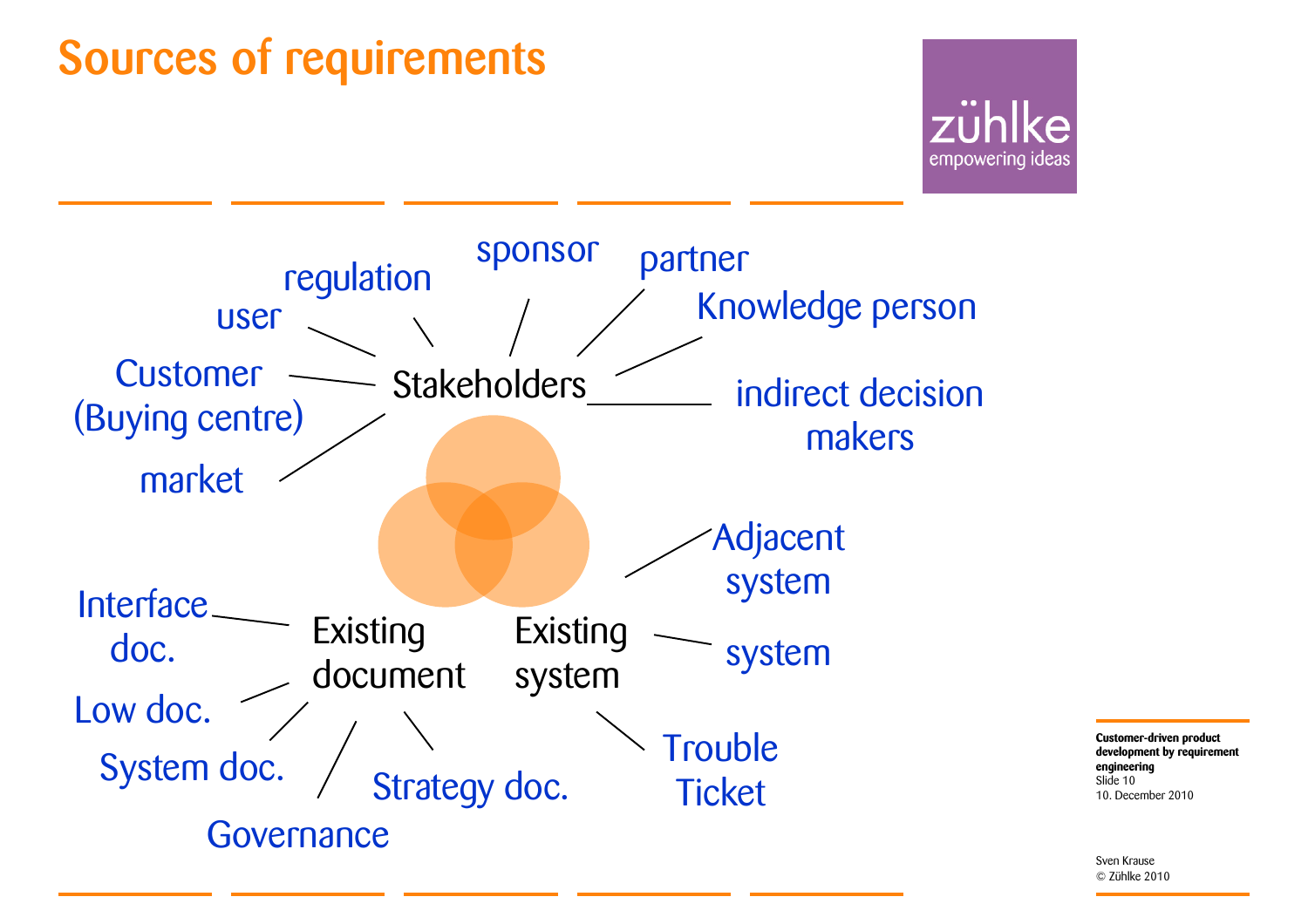### Sources of requirements





**Customer-driven product development by requirement engineering** 10. December 2010Slide 10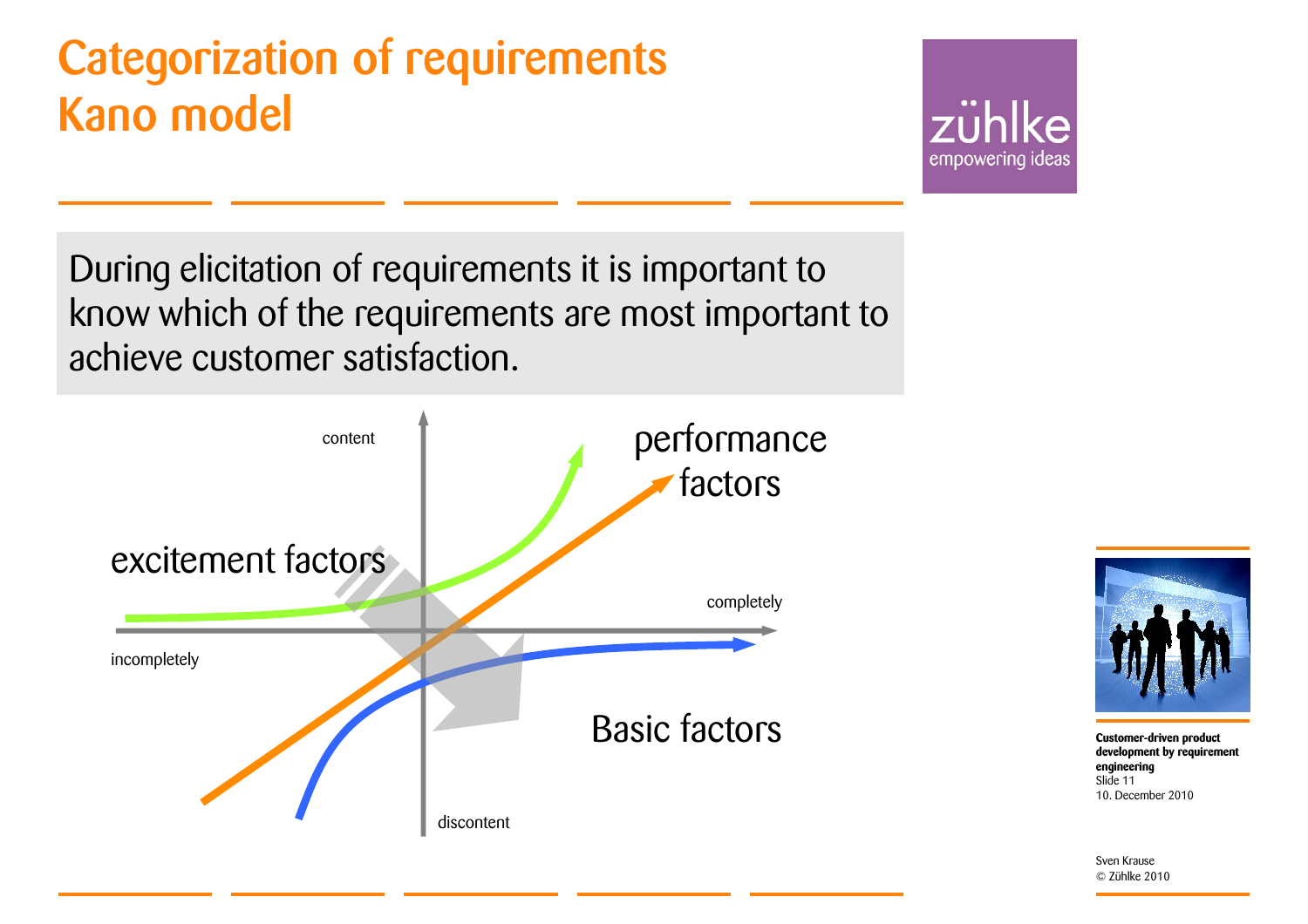### Categorization of requirements Kano model

zühlke empowering ideas

During elicitation of requirements it is important to know which of the requirements are most important to achieve customer satisfaction.





**Customer-driven product development by requirement engineering** 10. December 2010Slide 11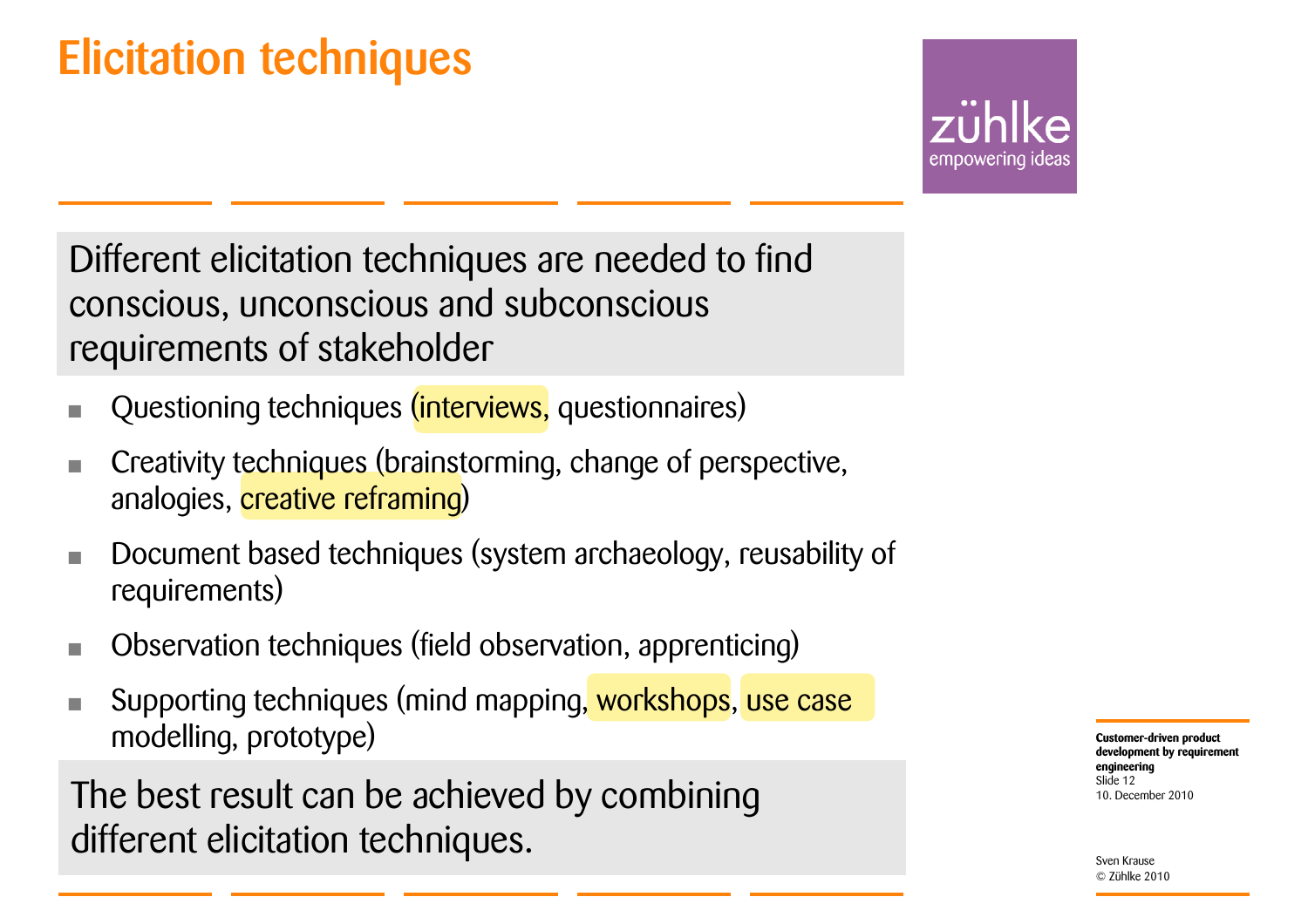### Elicitation techniques

empowering ideas

Different elicitation techniques are needed to find conscious, unconscious and subconscious requirements of stakeholder

- Questioning techniques (interviews, questionnaires)
- Creativity techniques (brainstorming, change of perspective, analogies, *creative reframing*)
- Document based techniques (system archaeology, reusability of requirements)
- Observation techniques (field observation, apprenticing)
- Supporting techniques (mind mapping, workshops, use case modelling, prototype)

The best result can be achieved by combining different elicitation techniques.

**Customer-driven product development by requirement engineering** 10. December 2010Slide 12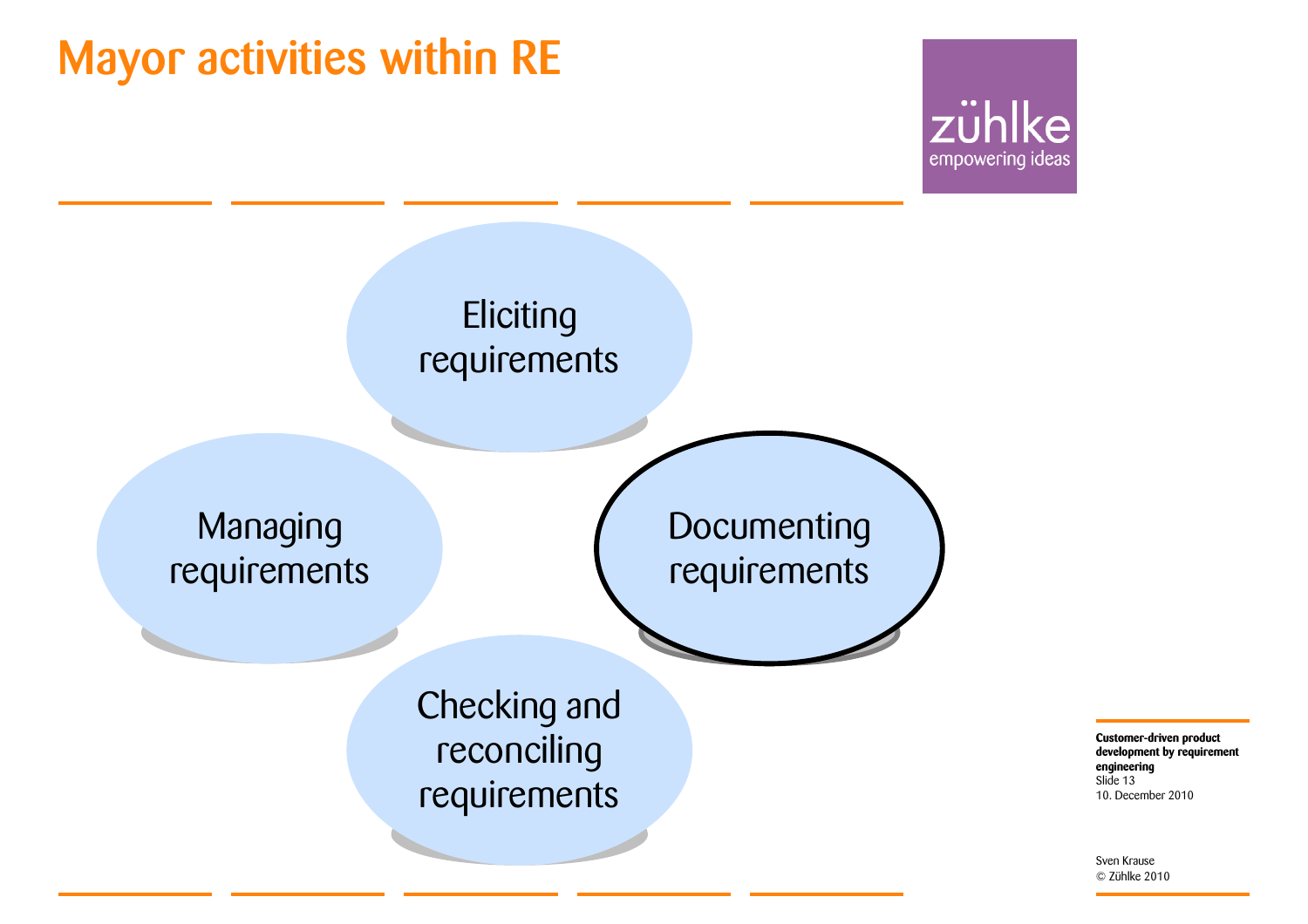### Mayor activities within RE





**engineering** 10. December 2010 Slide 13

**Customer-driven product development by requirement**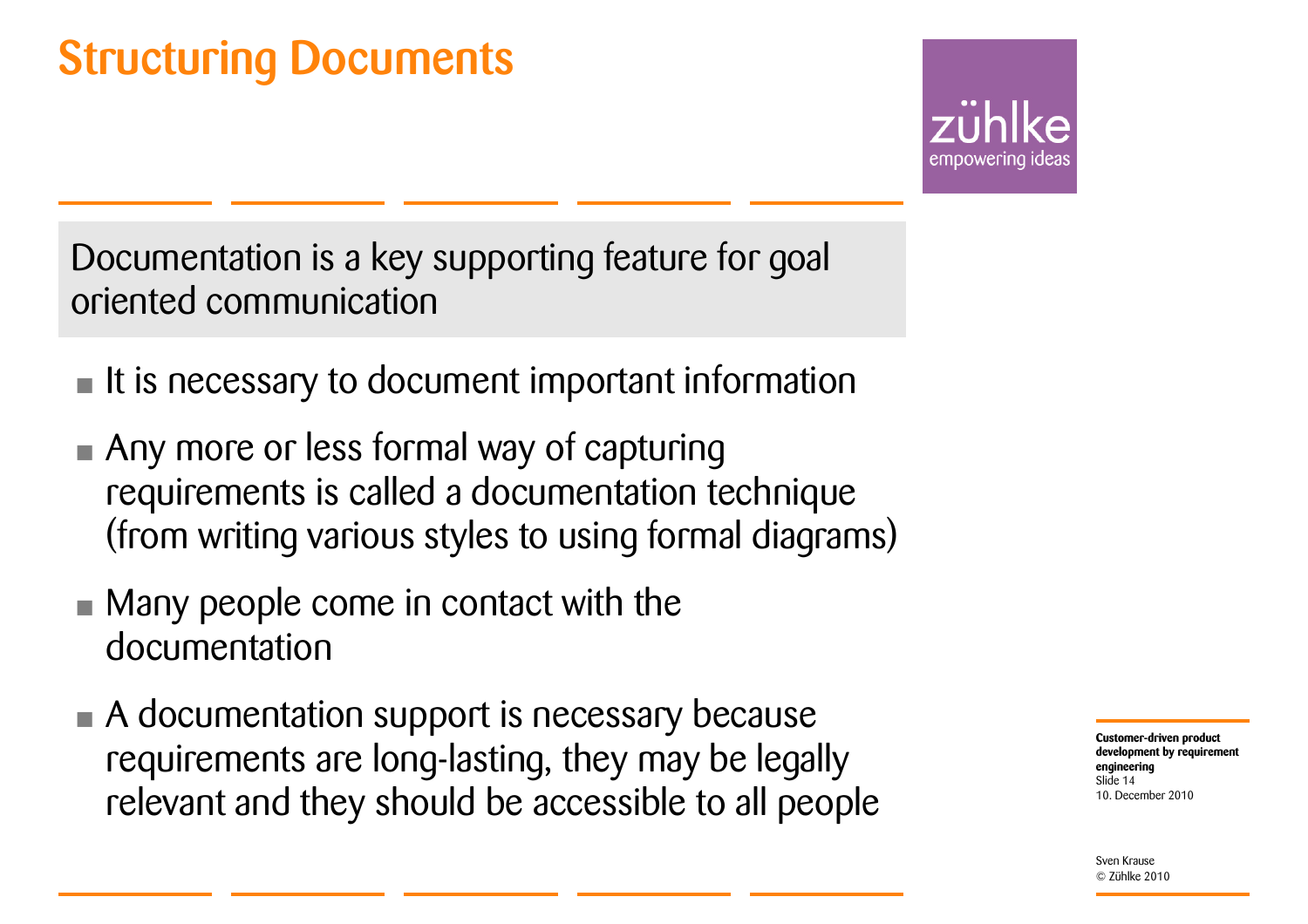### Structuring Documents

empowerina

Documentation is a key supporting feature for goal oriented communication

- It is necessary to document important information
- Any more or less formal way of capturing requirements is called a documentation technique (from writing various styles to using formal diagrams)
- Many people come in contact with the documentation
- A documentation support is necessary because requirements are long-lasting, they may be legally relevant and they should be accessible to all people

**Customer-driven product development by requirement engineering** 10. December 2010Slide 14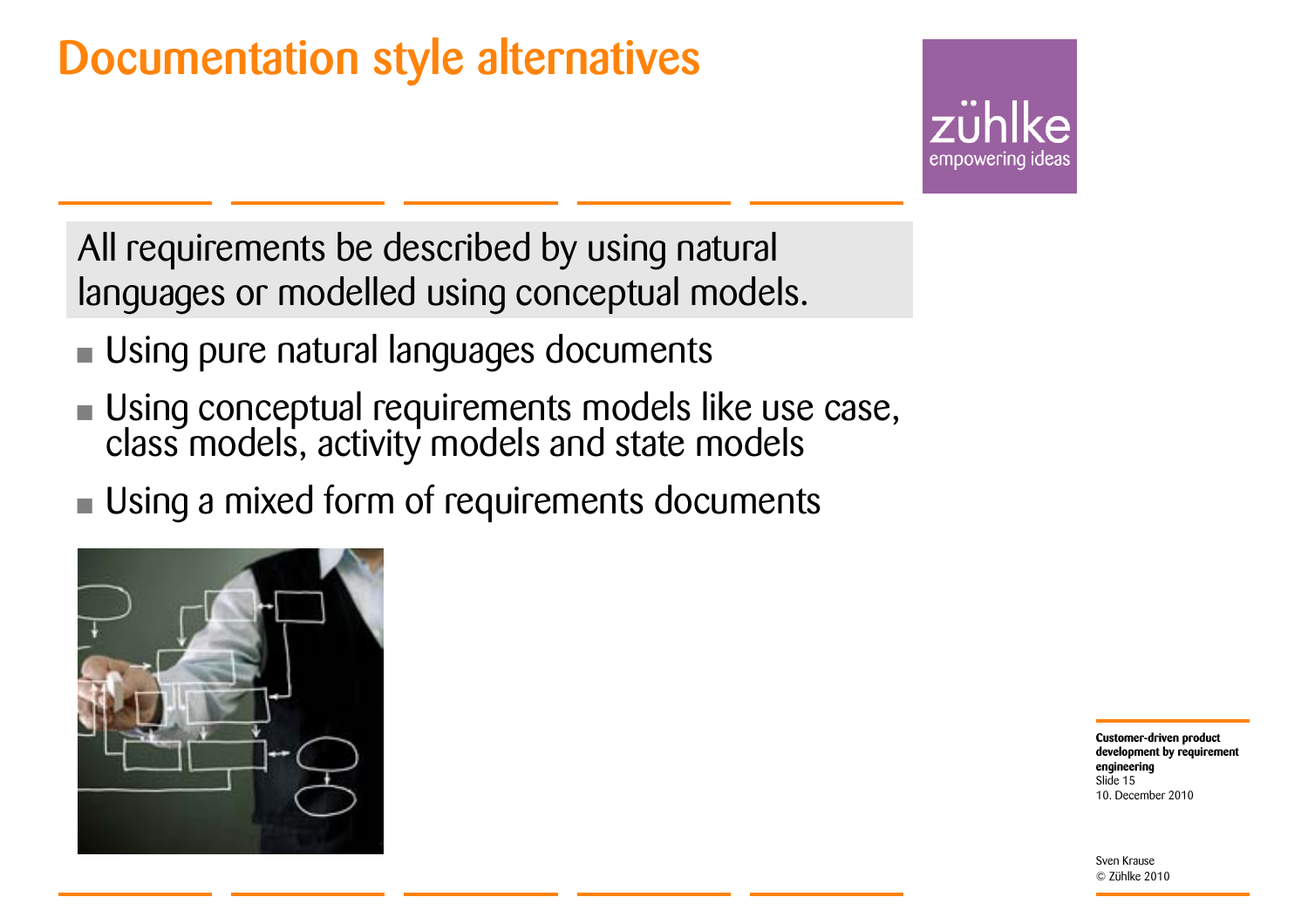### Documentation style alternatives

empowering ideas

All requirements be described by using natural languages or modelled using conceptual models.

- •Using pure natural languages documents
- •Using conceptual requirements models like use case, class models, activity models and state models
- •Using a mixed form of requirements documents



**Customer-driven product development by requirement engineering** 10. December 2010Slide 15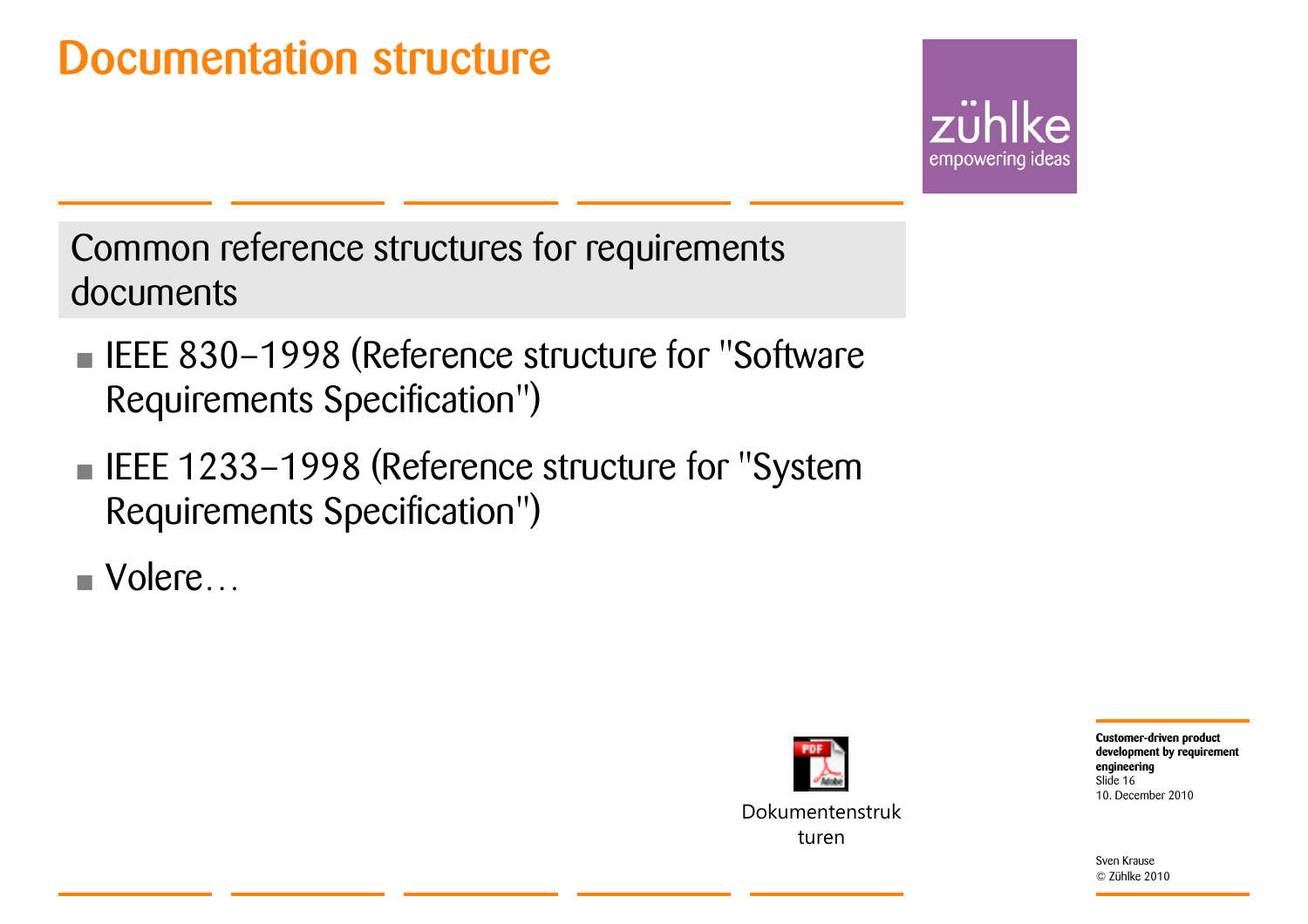### Documentation structure

empowering ideas

Common reference structures for requirements documents

- **EXECUSE: IEEE 830-1998 (Reference structure for "Software** Requirements Specification")
- **EXECUTE: 1233-1998 (Reference structure for "System** Requirements Specification")

• Volere…



Dokumentenstrukturen

**Customer-driven product development by requirement engineering** 10. December 2010Slide 16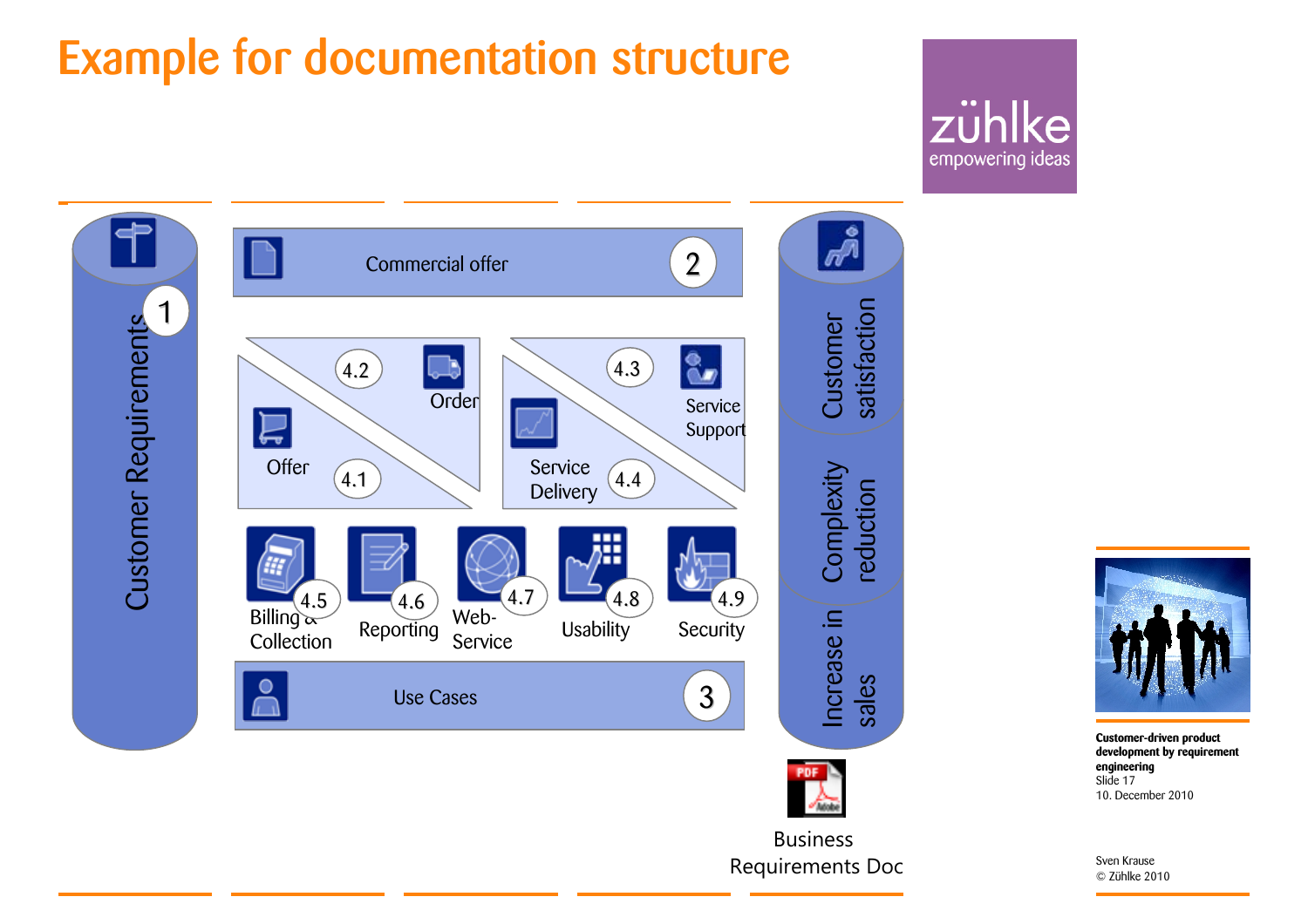### Example for documentation structure

### zühlke empowering ideas





**Customer-driven product development by requirement engineering** 10. December 2010Slide 17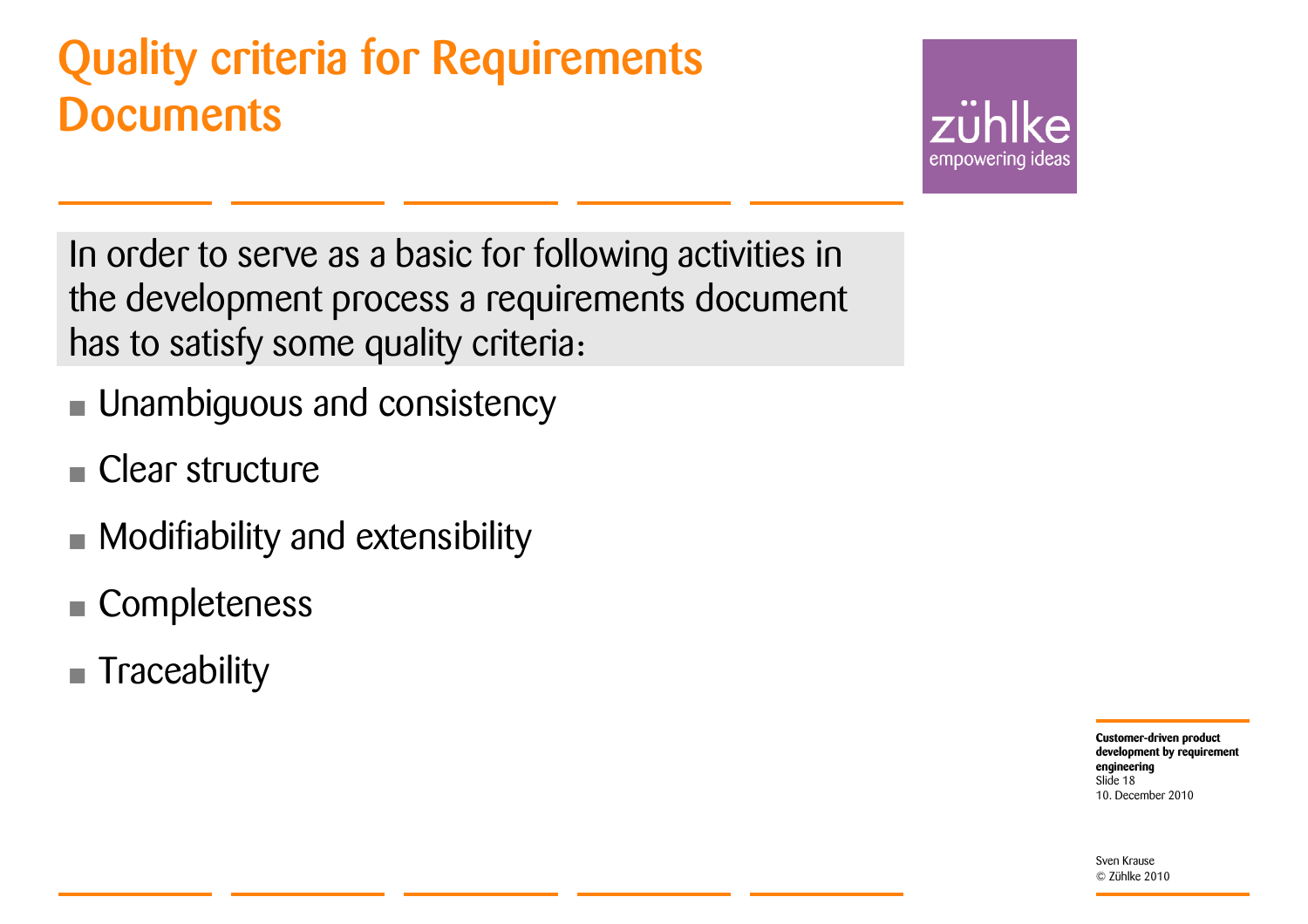### Quality criteria for Requirements **Documents**



In order to serve as a basic for following activities in the development process a requirements document has to satisfy some quality criteria:

- Unambiguous and consistency
- **E** Clear structure
- Modifiability and extensibility
- Completeness
- **Traceability**

**Customer-driven product development by requirement engineering** 10. December 2010Slide 18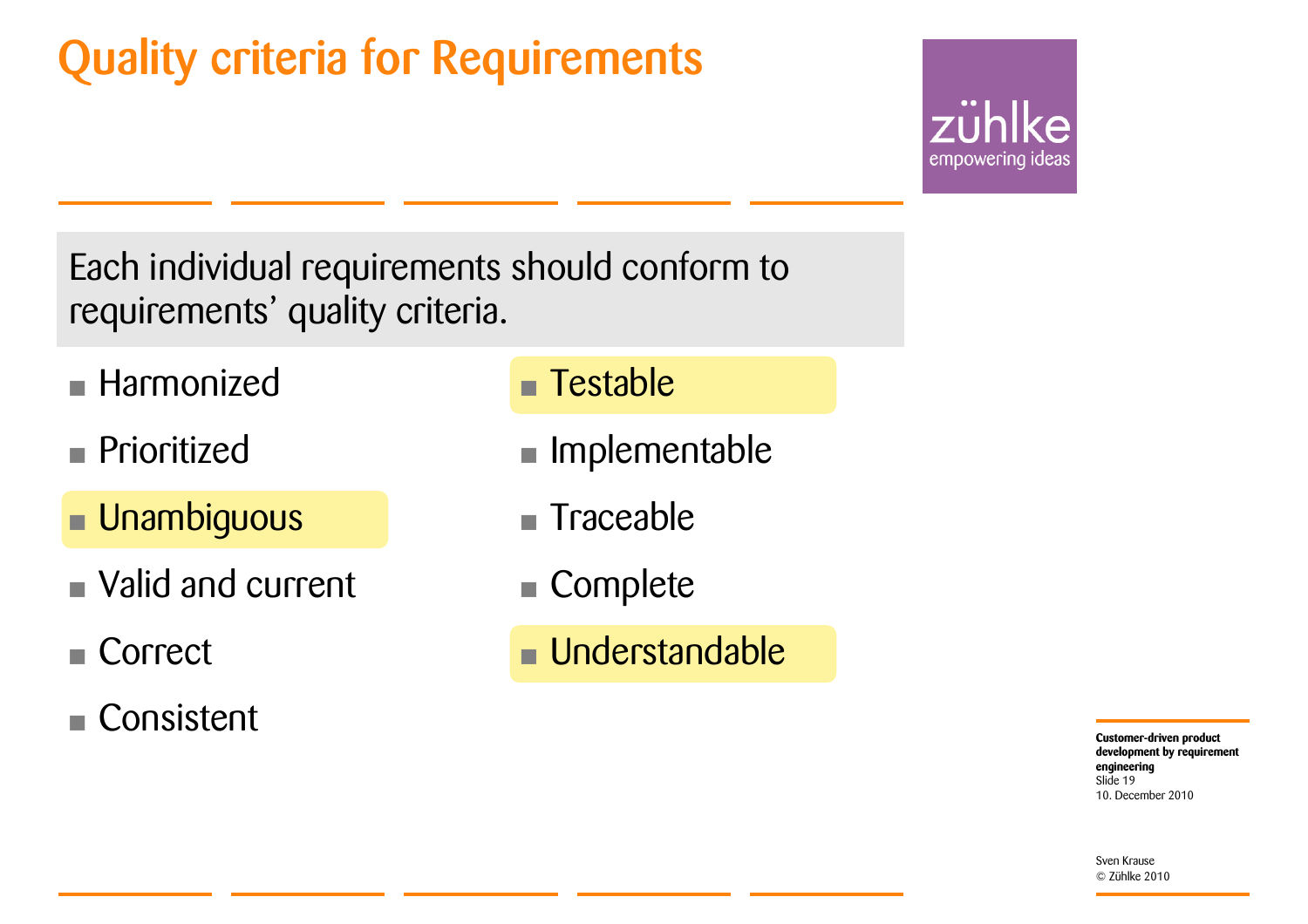### Quality criteria for Requirements



Each individual requirements should conform to requirements' quality criteria.

- Harmonized
- **Prioritized**
- Unambiguous
- Valid and current
- Correct
- Consistent

#### ■ Testable

- Implementable
- **F** Traceable
- Complete
- Understandable

**Customer-driven product development by requirement engineering** 10. December 2010Slide 19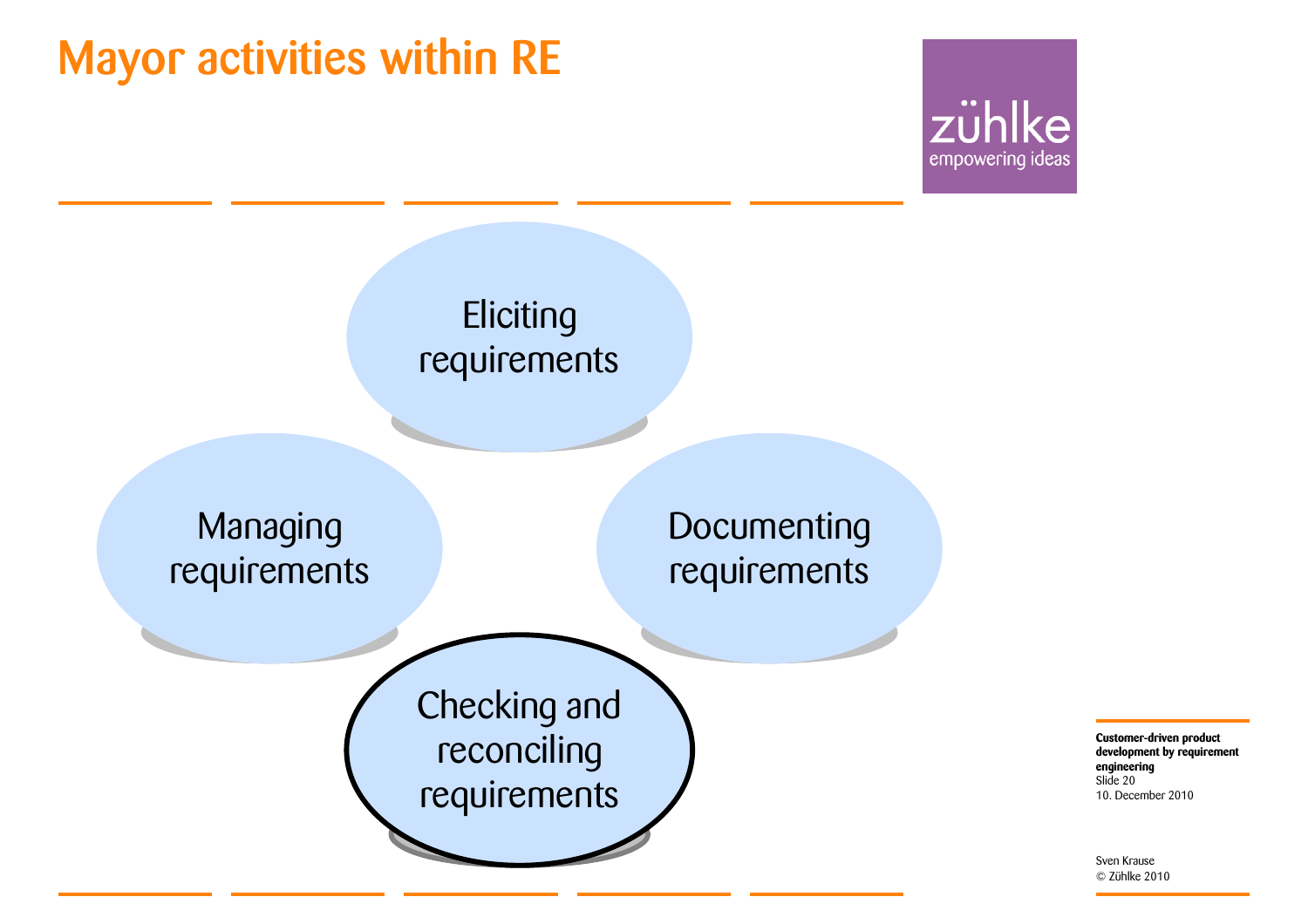### Mayor activities within RE





**Customer-driven product development by requirement engineering** 10. December 2010 Slide 20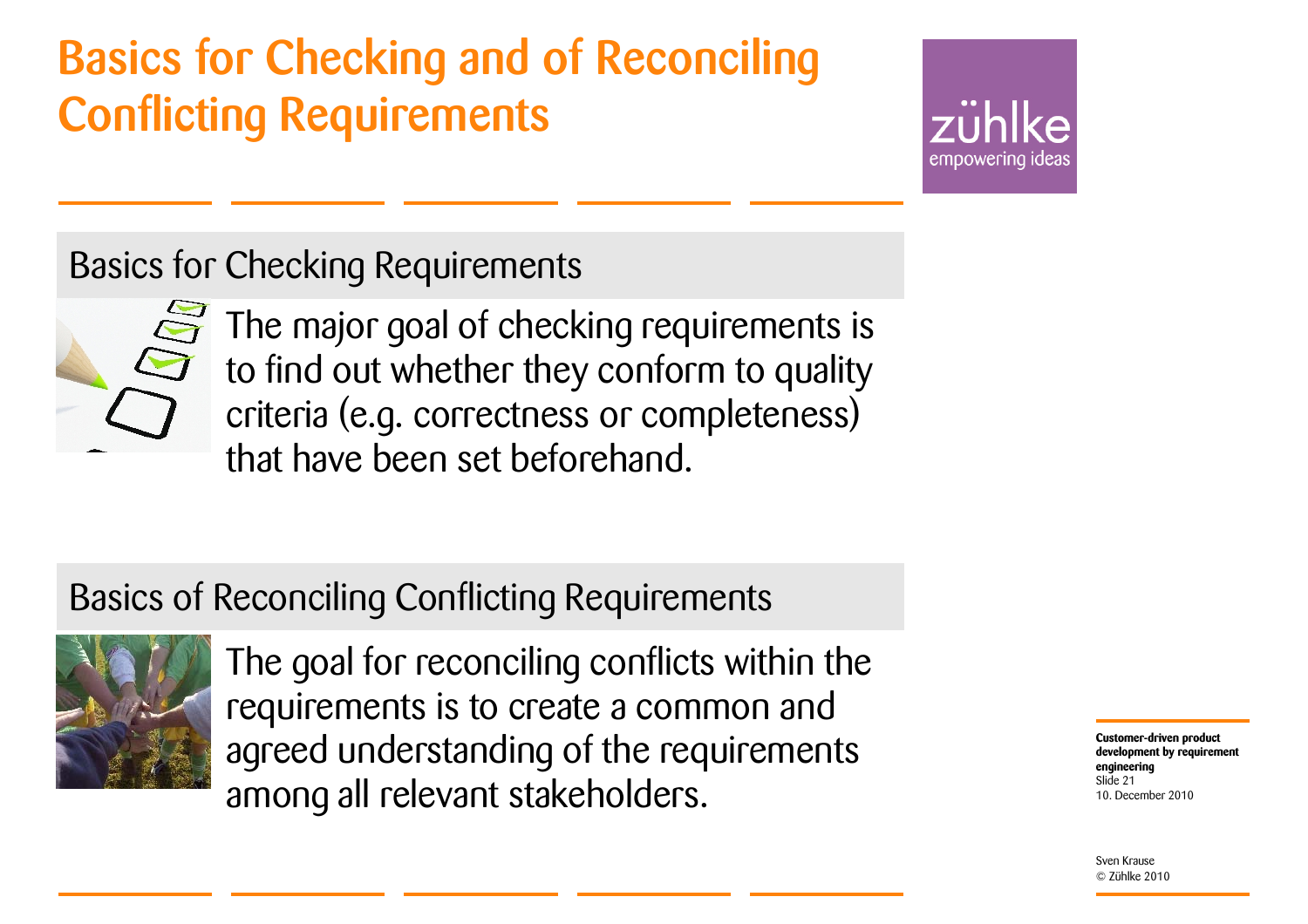### Basics for Checking and of Reconciling Conflicting Requirements

empowering ideas

#### Basics for Checking Requirements



The major goal of checking requirements is to find out whether they conform to quality criteria (e.g. correctness or completeness) that have been set beforehand.

#### Basics of Reconciling Conflicting Requirements



The goal for reconciling conflicts within the requirements is to create a common and agreed understanding of the requirements among all relevant stakeholders.

**Customer-driven product development by requirement engineering** 10. December 2010Slide 21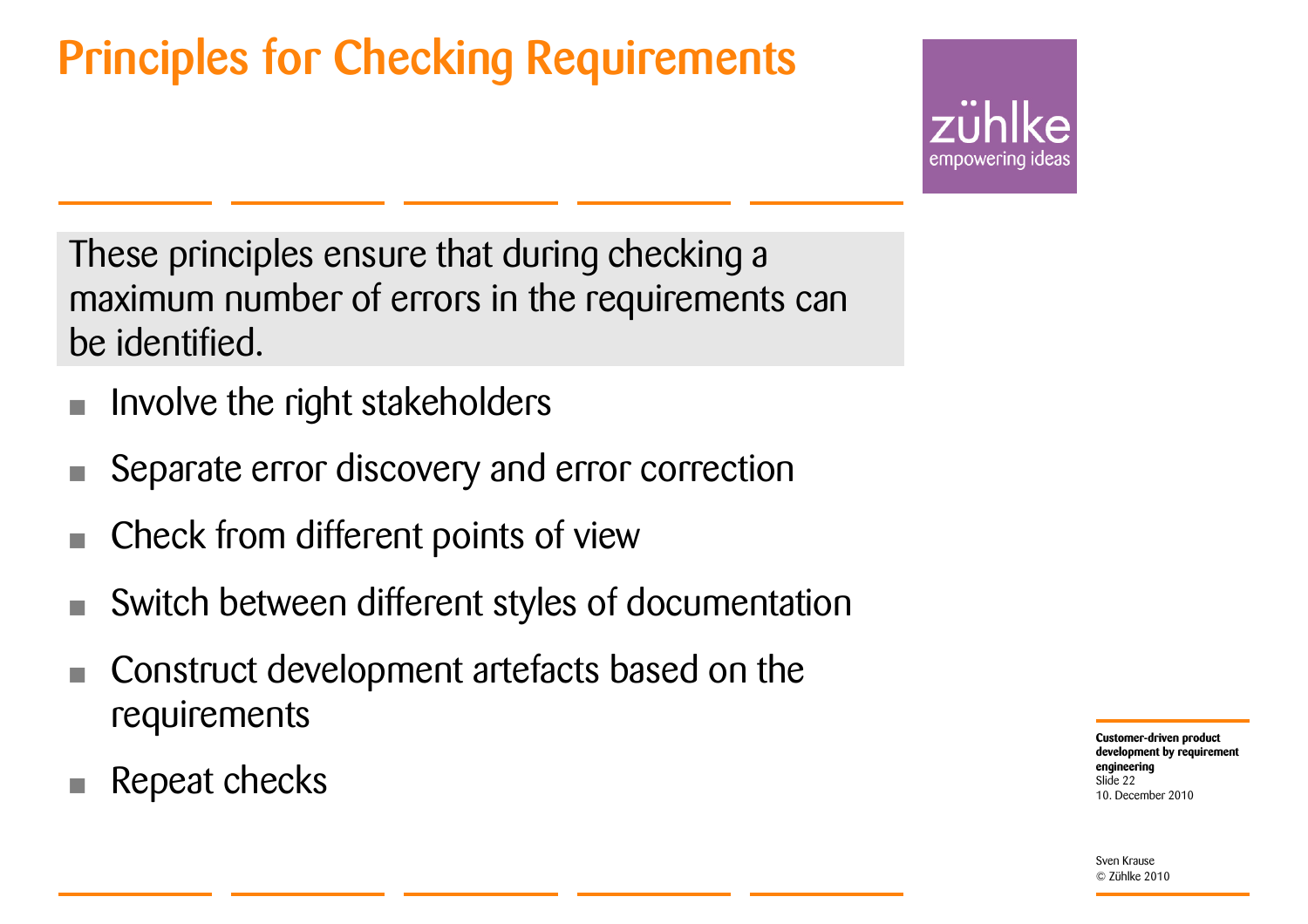### Principles for Checking Requirements

empowering ideas

These principles ensure that during checking a maximum number of errors in the requirements can be identified.

- Involve the right stakeholders
- Separate error discovery and error correction
- Check from different points of view
- Switch between different styles of documentation
- Construct development artefacts based on the requirements
- Repeat checks

**Customer-driven product development by requirement engineering** 10. December 2010Slide 22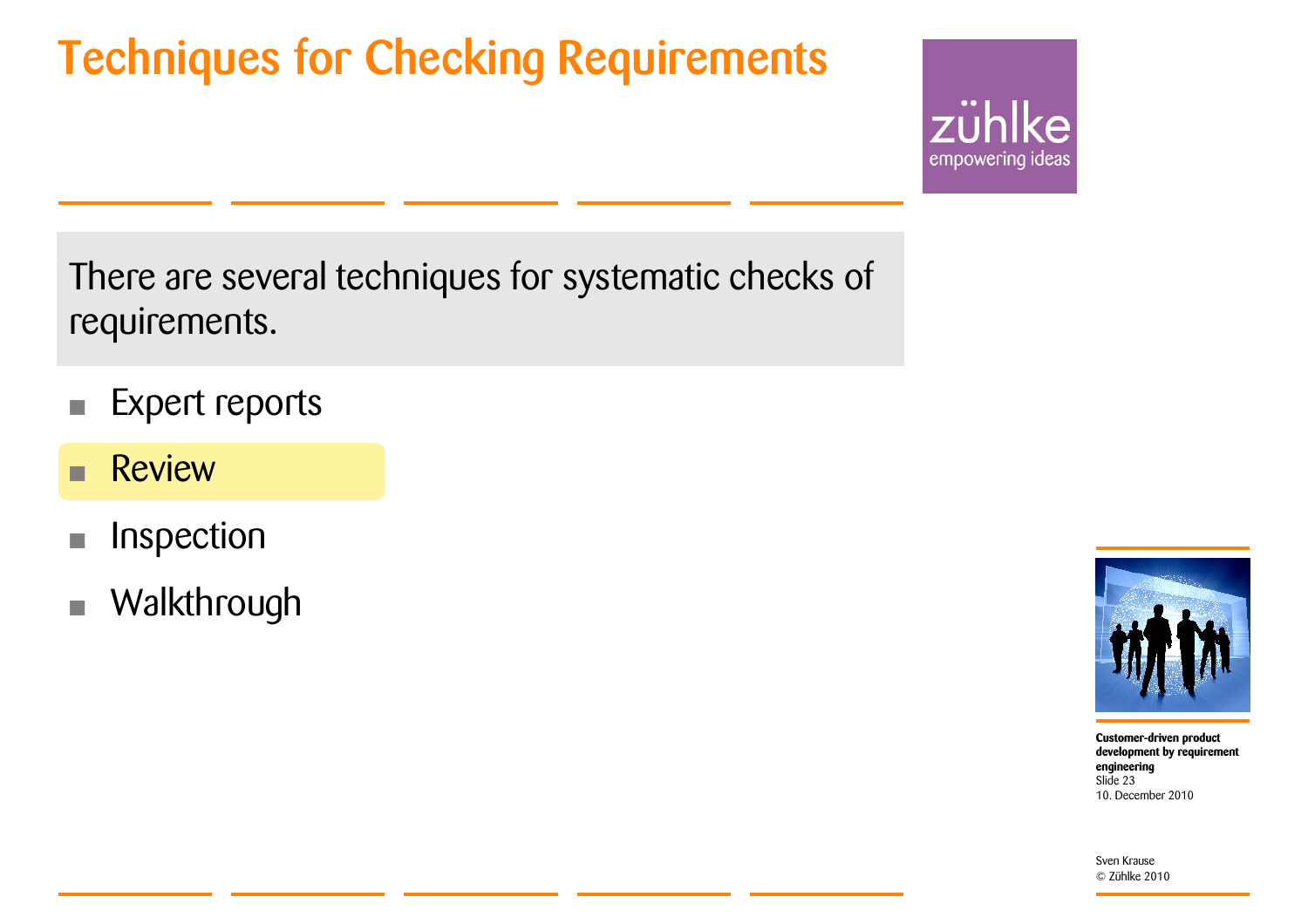### Techniques for Checking Requirements



There are several techniques for systematic checks of requirements.

- Expert reports
- Review
- Inspection
- **Walkthrough**



**Customer-driven product development by requirement engineering** 10. December 2010Slide 23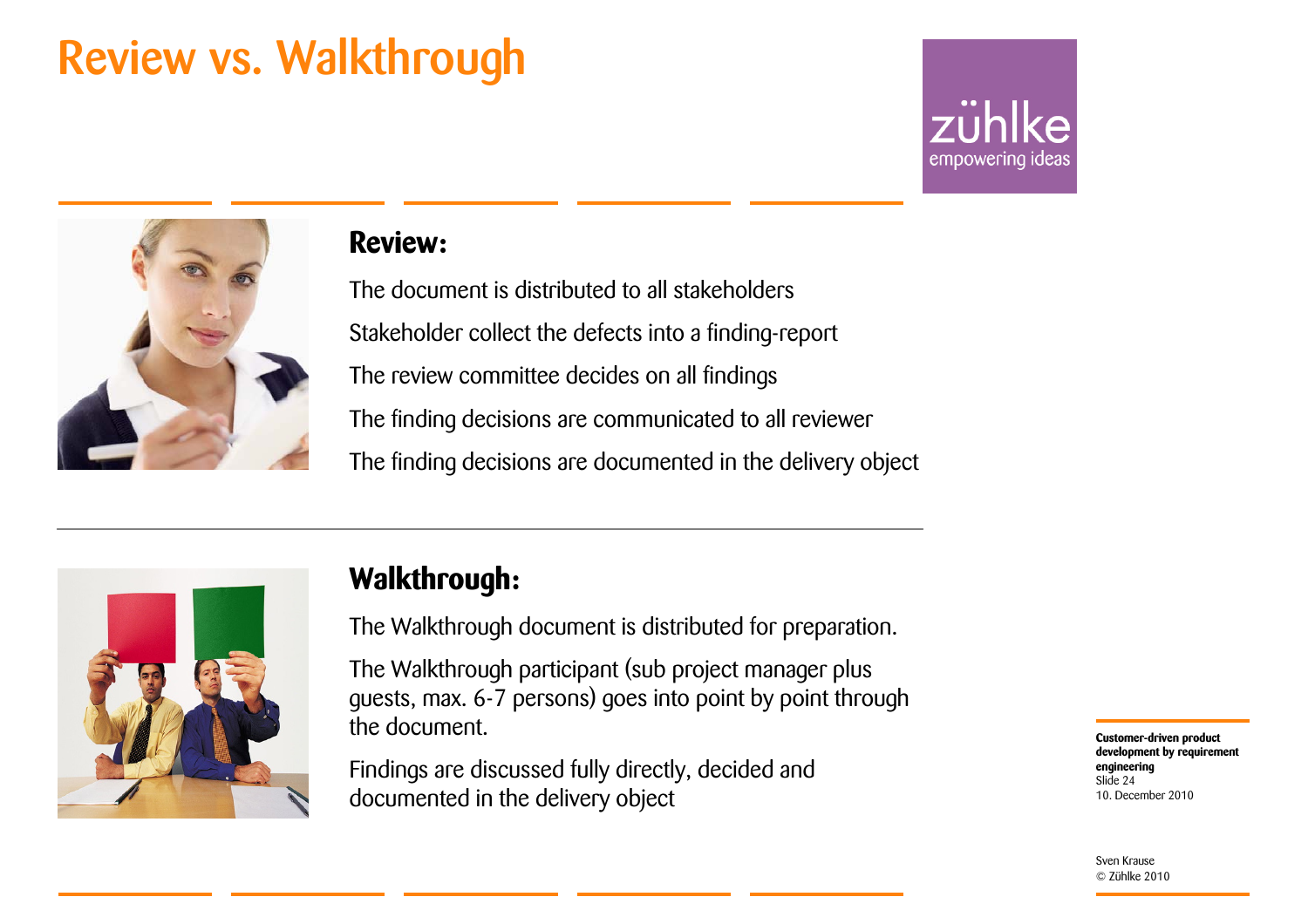### Review vs. Walkthrough





#### **Review:**

The document is distributed to all stakeholdersStakeholder collect the defects into a finding-report The review committee decides on all findings The finding decisions are communicated to all reviewer The finding decisions are documented in the delivery object



#### **Walkthrough:**

The Walkthrough document is distributed for preparation.

The Walkthrough participant (sub project manager plus guests, max. 6-7 persons) goes into point by point through the document.

Findings are discussed fully directly, decided and documented in the delivery object

**Customer-driven product development by requirement engineering** 10. December 2010Slide 24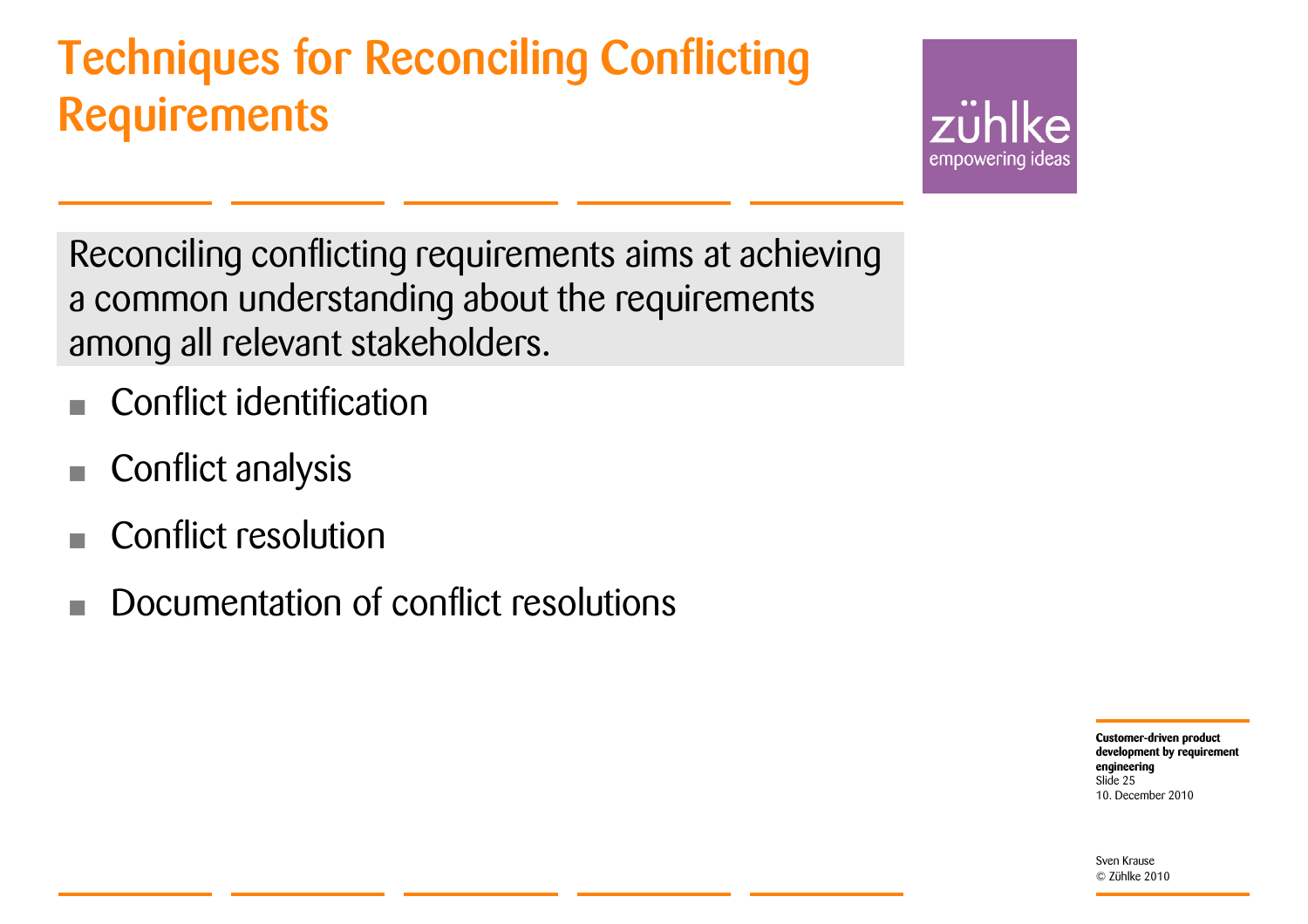### Techniques for Reconciling Conflicting **Requirements**



Reconciling conflicting requirements aims at achieving a common understanding about the requirements among all relevant stakeholders.

- Conflict identification
- Conflict analysis
- Conflict resolution
- Documentation of conflict resolutions

**Customer-driven product development by requirement engineering** 10. December 2010Slide 25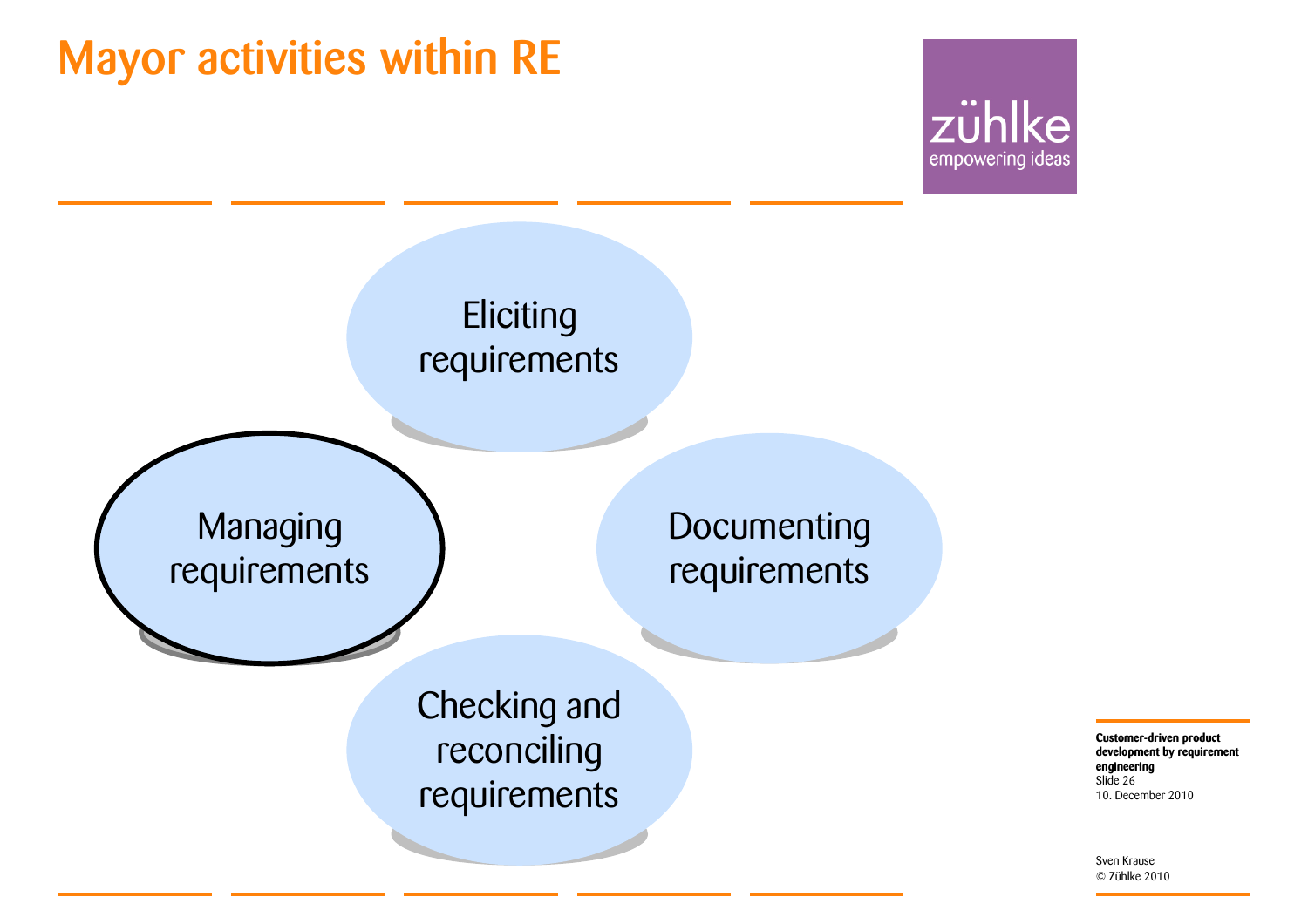### Mayor activities within RE





**Customer-driven product development by requirement engineering** 10. December 2010 Slide 26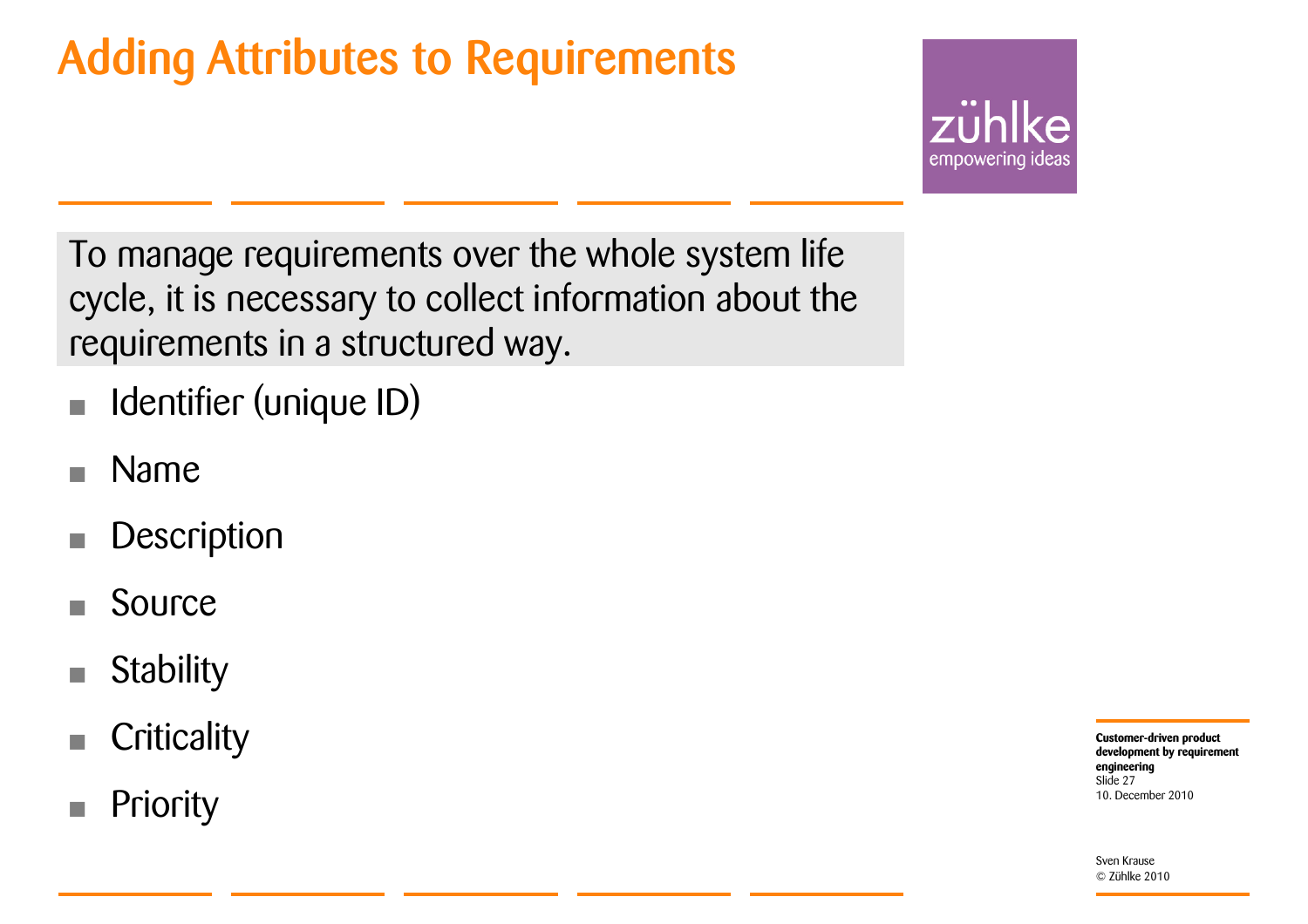### Adding Attributes to Requirements



To manage requirements over the whole system life cycle, it is necessary to collect information about the requirements in a structured way.

- Identifier (unique ID)
- Name
- **Description**
- Source
- **Stability**
- **Criticality**
- Priority

**Customer-driven product development by requirement engineering** 10. December 2010Slide 27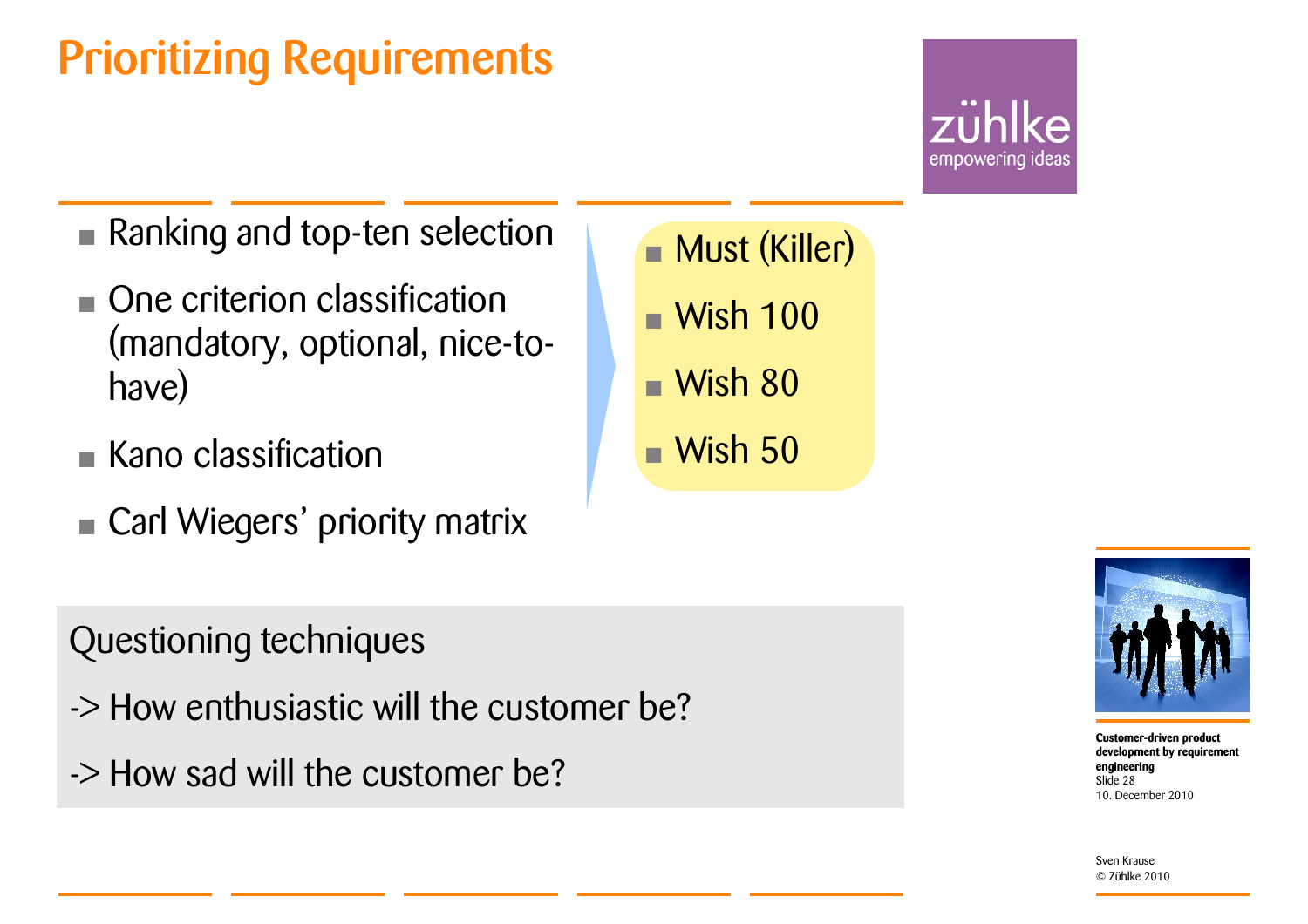### Prioritizing Requirements

## empowering ideas

- Ranking and top-ten selection
- One criterion classification (mandatory, optional, nice-tohave)
- Kano classification
- **Carl Wiegers' priority matrix**
- Questioning techniques
- -> How enthusiastic will the customer be?
- -> How sad will the customer be?
- Must (Killer)
- •Wish 100
- Wish 80
- •Wish 50



**Customer-driven product development by requirement engineering** 10. December 2010Slide 28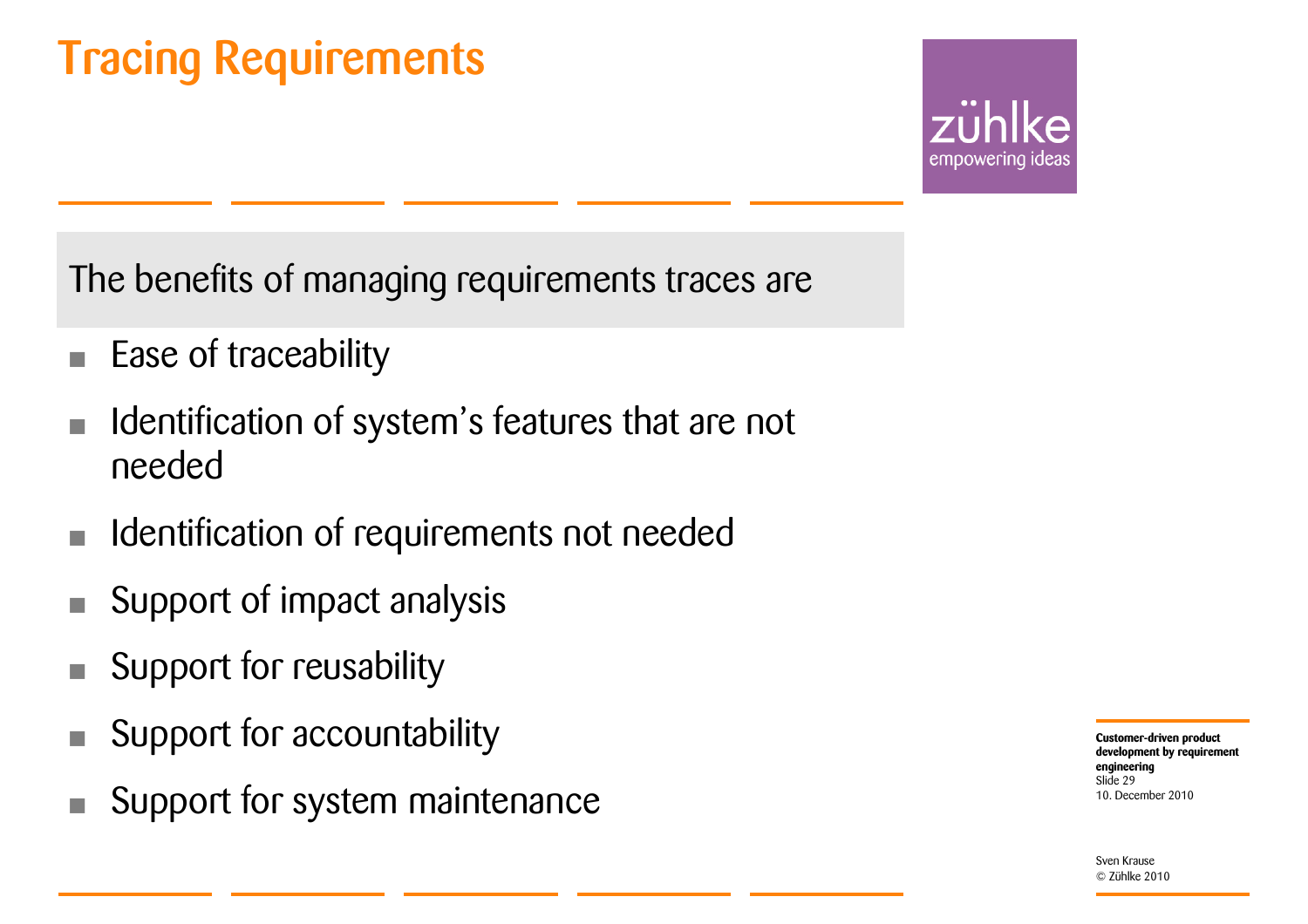### Tracing Requirements

empowering ideas

The benefits of managing requirements traces are

- Ease of traceability
- Identification of system's features that are not needed
- Identification of requirements not needed
- Support of impact analysis
- Support for reusability
- Support for accountability
- Support for system maintenance

**Customer-driven product development by requirement engineering** 10. December 2010Slide 29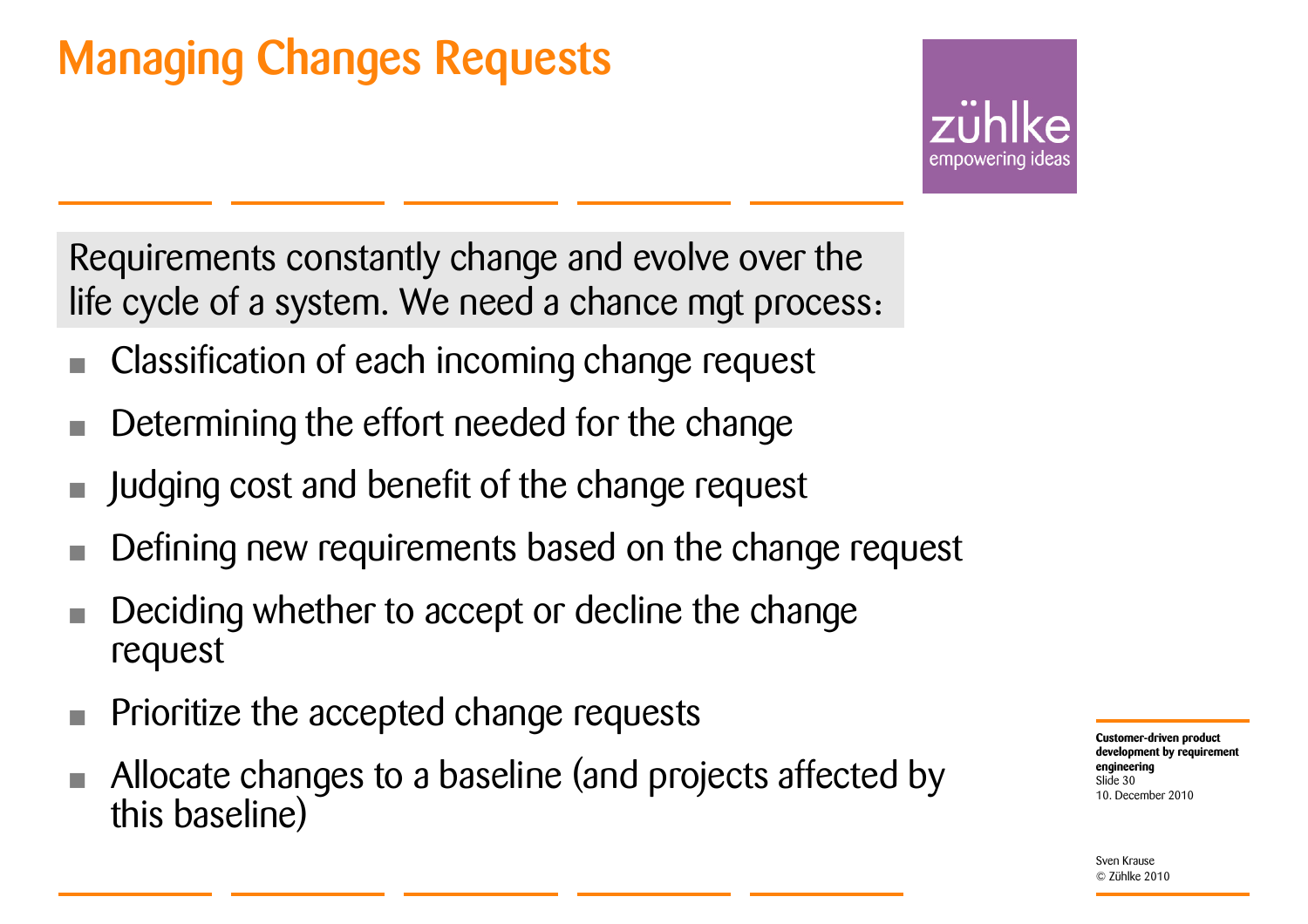### Managing Changes Requests

empowering ideas

Requirements constantly change and evolve over the life cycle of a system. We need a chance mgt process:

- Classification of each incoming change request
- Determining the effort needed for the change
- Judging cost and benefit of the change request
- Defining new requirements based on the change request
- Deciding whether to accept or decline the change request
- Prioritize the accepted change requests
- Allocate changes to a baseline (and projects affected by this baseline)

**Customer-driven product development by requirement engineering** 10. December 2010Slide 30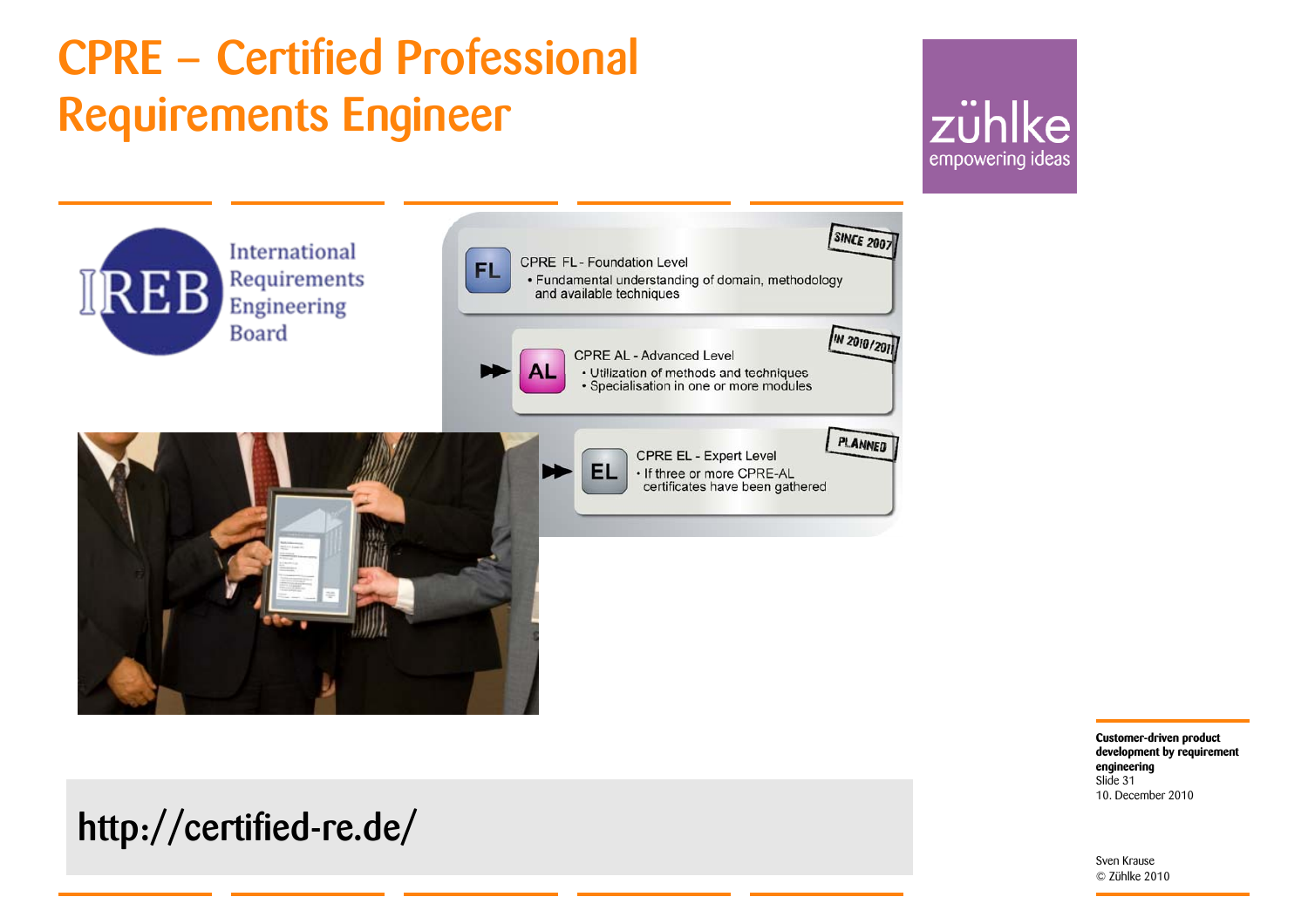### CPRE – Certified Professional Requirements Engineer

http://certified-re.de/

### zühlke empowering ideas



**Customer-driven product development by requirement engineering** 10. December 2010Slide 31